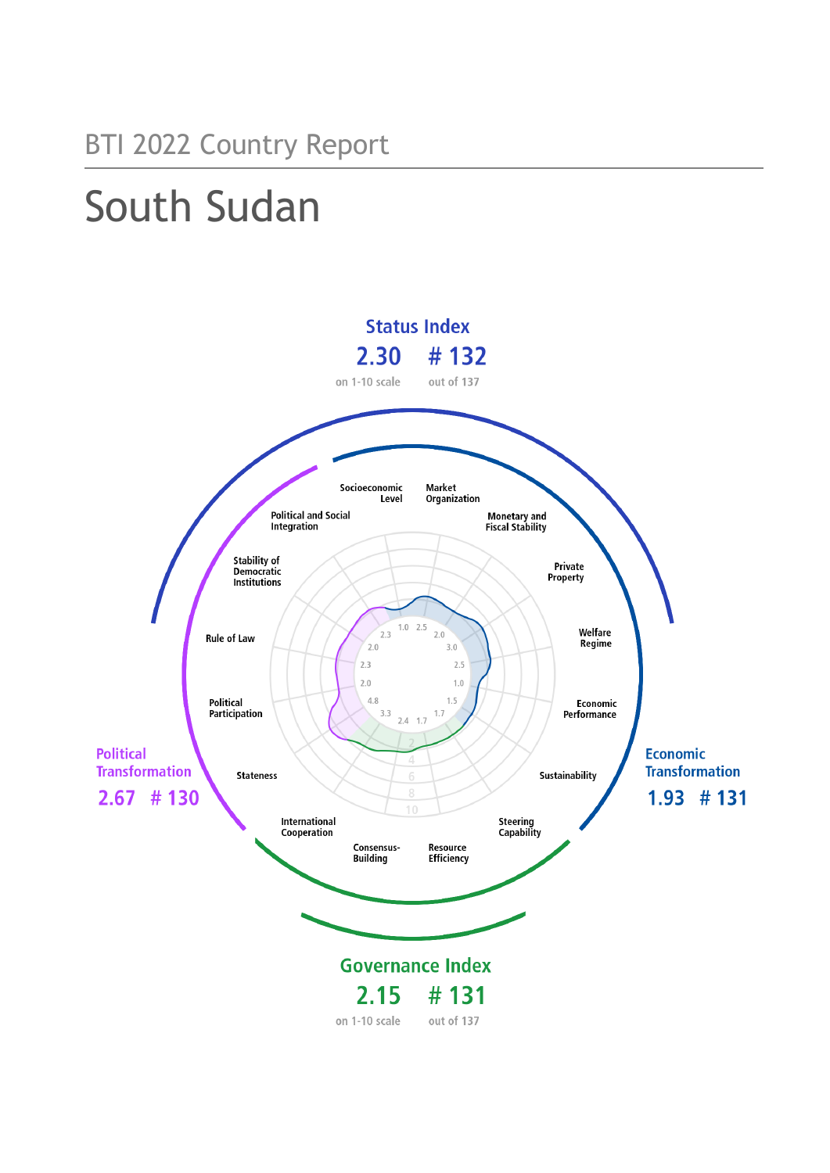## BTI 2022 Country Report

# South Sudan

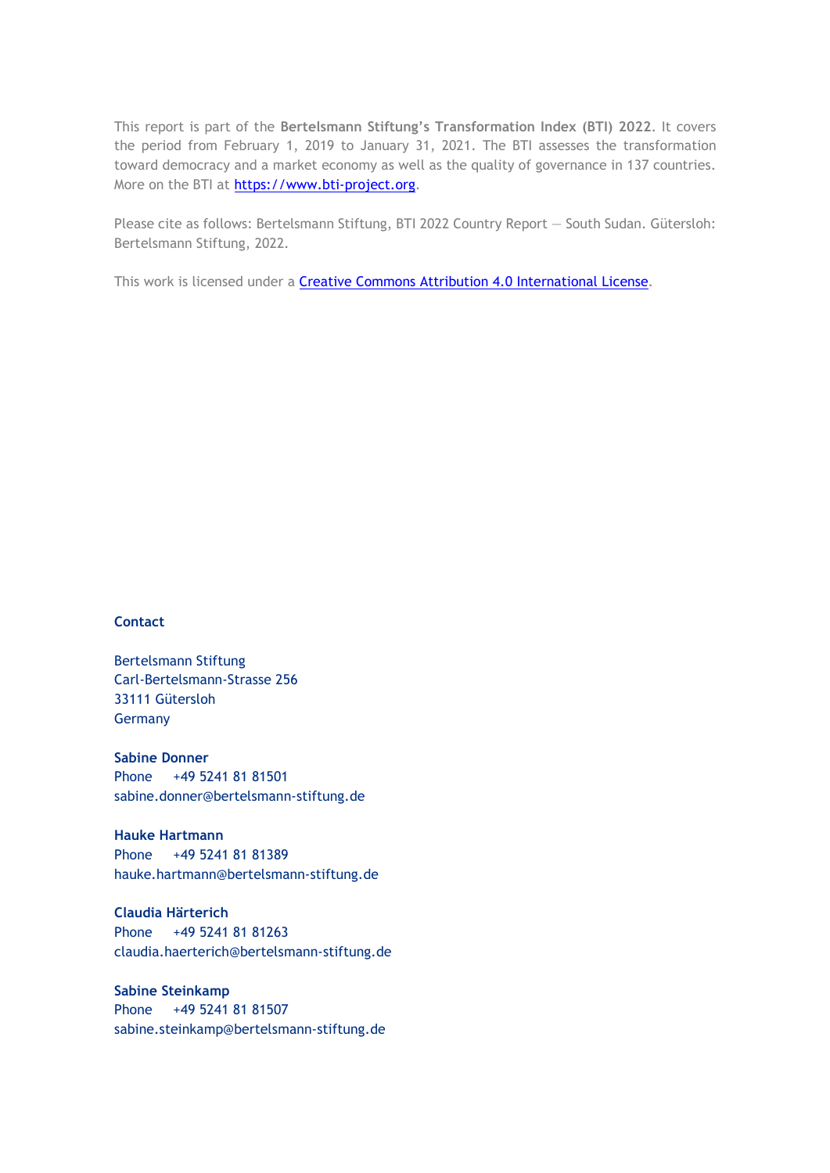This report is part of the **Bertelsmann Stiftung's Transformation Index (BTI) 2022**. It covers the period from February 1, 2019 to January 31, 2021. The BTI assesses the transformation toward democracy and a market economy as well as the quality of governance in 137 countries. More on the BTI at [https://www.bti-project.org.](http://www.bti-project.org/)

Please cite as follows: Bertelsmann Stiftung, BTI 2022 Country Report — South Sudan. Gütersloh: Bertelsmann Stiftung, 2022.

This work is licensed under a **Creative Commons Attribution 4.0 International License**.

## **Contact**

Bertelsmann Stiftung Carl-Bertelsmann-Strasse 256 33111 Gütersloh Germany

**Sabine Donner** Phone +49 5241 81 81501 sabine.donner@bertelsmann-stiftung.de

**Hauke Hartmann** Phone +49 5241 81 81389 hauke.hartmann@bertelsmann-stiftung.de

**Claudia Härterich** Phone +49 5241 81 81263 claudia.haerterich@bertelsmann-stiftung.de

## **Sabine Steinkamp** Phone +49 5241 81 81507 sabine.steinkamp@bertelsmann-stiftung.de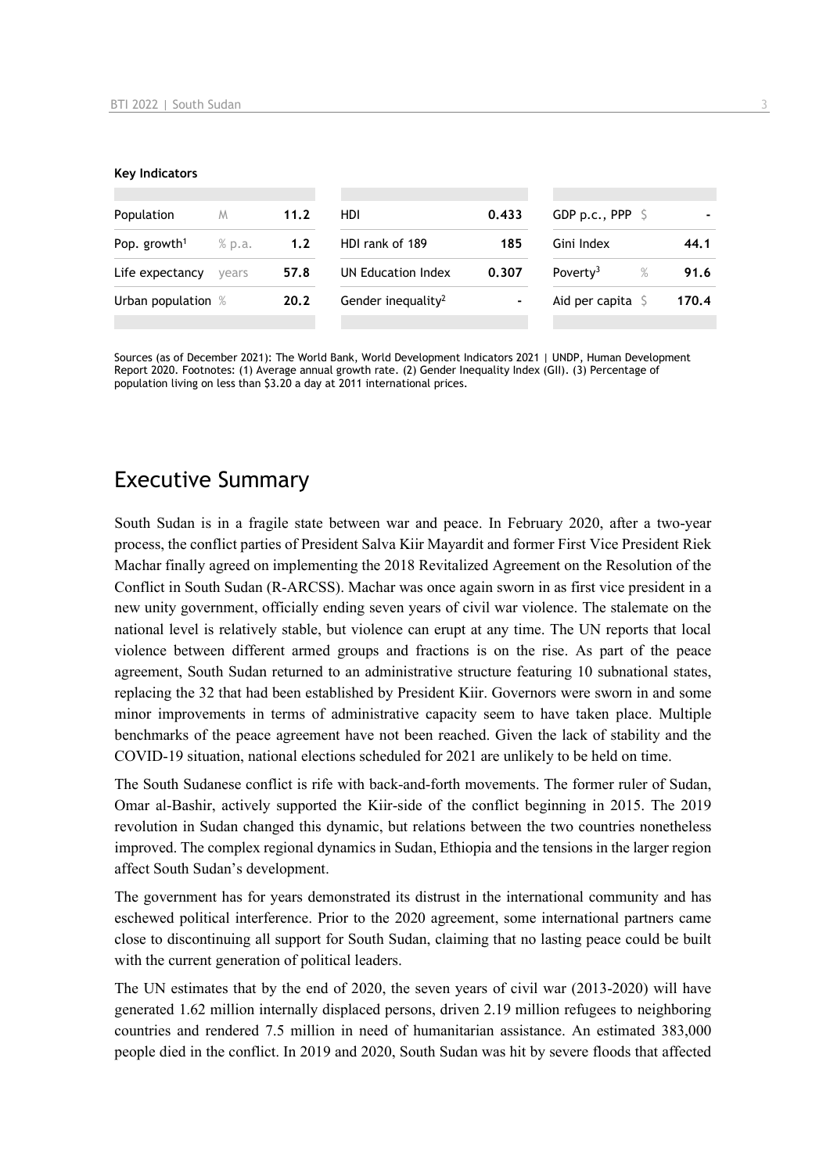#### **Key Indicators**

| Population               | M      | 11.2 | HDI.                           | 0.433          | GDP p.c., PPP $\ S$          |       |
|--------------------------|--------|------|--------------------------------|----------------|------------------------------|-------|
| Pop. growth <sup>1</sup> | % p.a. | 1.2  | HDI rank of 189                | 185            | Gini Index                   | 44.1  |
| Life expectancy          | vears  | 57.8 | UN Education Index             | 0.307          | Poverty <sup>3</sup><br>$\%$ | 91.6  |
| Urban population %       |        | 20.2 | Gender inequality <sup>2</sup> | $\blacksquare$ | Aid per capita $\sqrt{5}$    | 170.4 |
|                          |        |      |                                |                |                              |       |

Sources (as of December 2021): The World Bank, World Development Indicators 2021 | UNDP, Human Development Report 2020. Footnotes: (1) Average annual growth rate. (2) Gender Inequality Index (GII). (3) Percentage of population living on less than \$3.20 a day at 2011 international prices.

## Executive Summary

South Sudan is in a fragile state between war and peace. In February 2020, after a two-year process, the conflict parties of President Salva Kiir Mayardit and former First Vice President Riek Machar finally agreed on implementing the 2018 Revitalized Agreement on the Resolution of the Conflict in South Sudan (R-ARCSS). Machar was once again sworn in as first vice president in a new unity government, officially ending seven years of civil war violence. The stalemate on the national level is relatively stable, but violence can erupt at any time. The UN reports that local violence between different armed groups and fractions is on the rise. As part of the peace agreement, South Sudan returned to an administrative structure featuring 10 subnational states, replacing the 32 that had been established by President Kiir. Governors were sworn in and some minor improvements in terms of administrative capacity seem to have taken place. Multiple benchmarks of the peace agreement have not been reached. Given the lack of stability and the COVID-19 situation, national elections scheduled for 2021 are unlikely to be held on time.

The South Sudanese conflict is rife with back-and-forth movements. The former ruler of Sudan, Omar al-Bashir, actively supported the Kiir-side of the conflict beginning in 2015. The 2019 revolution in Sudan changed this dynamic, but relations between the two countries nonetheless improved. The complex regional dynamics in Sudan, Ethiopia and the tensions in the larger region affect South Sudan's development.

The government has for years demonstrated its distrust in the international community and has eschewed political interference. Prior to the 2020 agreement, some international partners came close to discontinuing all support for South Sudan, claiming that no lasting peace could be built with the current generation of political leaders.

The UN estimates that by the end of 2020, the seven years of civil war (2013-2020) will have generated 1.62 million internally displaced persons, driven 2.19 million refugees to neighboring countries and rendered 7.5 million in need of humanitarian assistance. An estimated 383,000 people died in the conflict. In 2019 and 2020, South Sudan was hit by severe floods that affected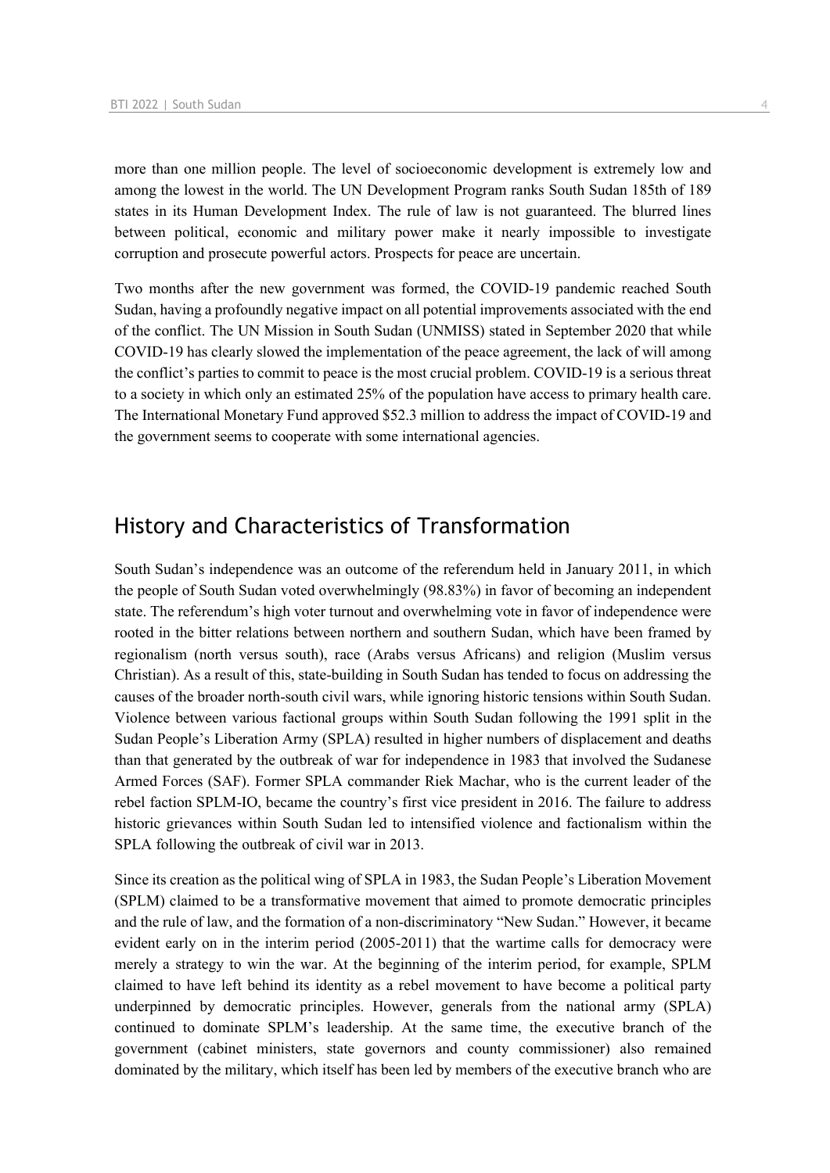more than one million people. The level of socioeconomic development is extremely low and among the lowest in the world. The UN Development Program ranks South Sudan 185th of 189 states in its Human Development Index. The rule of law is not guaranteed. The blurred lines between political, economic and military power make it nearly impossible to investigate corruption and prosecute powerful actors. Prospects for peace are uncertain.

Two months after the new government was formed, the COVID-19 pandemic reached South Sudan, having a profoundly negative impact on all potential improvements associated with the end of the conflict. The UN Mission in South Sudan (UNMISS) stated in September 2020 that while COVID-19 has clearly slowed the implementation of the peace agreement, the lack of will among the conflict's parties to commit to peace is the most crucial problem. COVID-19 is a serious threat to a society in which only an estimated 25% of the population have access to primary health care. The International Monetary Fund approved \$52.3 million to address the impact of COVID-19 and the government seems to cooperate with some international agencies.

## History and Characteristics of Transformation

South Sudan's independence was an outcome of the referendum held in January 2011, in which the people of South Sudan voted overwhelmingly (98.83%) in favor of becoming an independent state. The referendum's high voter turnout and overwhelming vote in favor of independence were rooted in the bitter relations between northern and southern Sudan, which have been framed by regionalism (north versus south), race (Arabs versus Africans) and religion (Muslim versus Christian). As a result of this, state-building in South Sudan has tended to focus on addressing the causes of the broader north-south civil wars, while ignoring historic tensions within South Sudan. Violence between various factional groups within South Sudan following the 1991 split in the Sudan People's Liberation Army (SPLA) resulted in higher numbers of displacement and deaths than that generated by the outbreak of war for independence in 1983 that involved the Sudanese Armed Forces (SAF). Former SPLA commander Riek Machar, who is the current leader of the rebel faction SPLM-IO, became the country's first vice president in 2016. The failure to address historic grievances within South Sudan led to intensified violence and factionalism within the SPLA following the outbreak of civil war in 2013.

Since its creation as the political wing of SPLA in 1983, the Sudan People's Liberation Movement (SPLM) claimed to be a transformative movement that aimed to promote democratic principles and the rule of law, and the formation of a non-discriminatory "New Sudan." However, it became evident early on in the interim period (2005-2011) that the wartime calls for democracy were merely a strategy to win the war. At the beginning of the interim period, for example, SPLM claimed to have left behind its identity as a rebel movement to have become a political party underpinned by democratic principles. However, generals from the national army (SPLA) continued to dominate SPLM's leadership. At the same time, the executive branch of the government (cabinet ministers, state governors and county commissioner) also remained dominated by the military, which itself has been led by members of the executive branch who are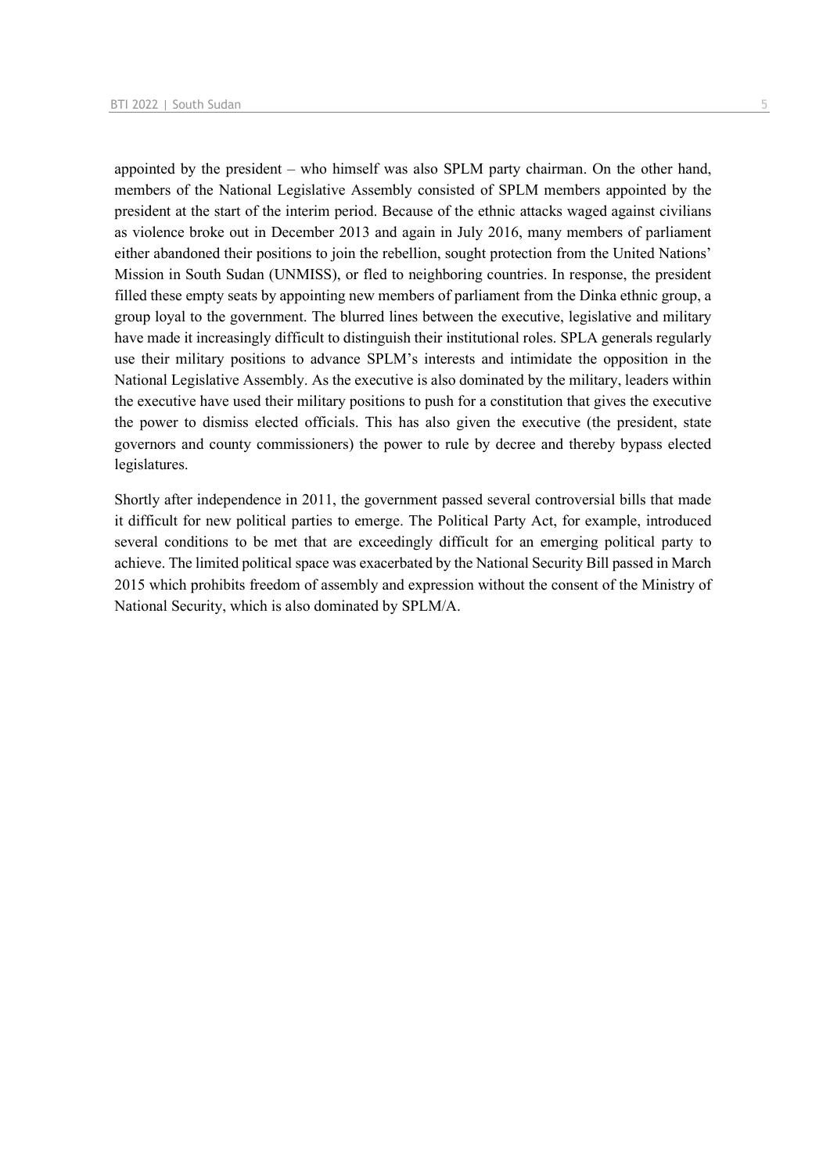appointed by the president – who himself was also SPLM party chairman. On the other hand, members of the National Legislative Assembly consisted of SPLM members appointed by the president at the start of the interim period. Because of the ethnic attacks waged against civilians as violence broke out in December 2013 and again in July 2016, many members of parliament either abandoned their positions to join the rebellion, sought protection from the United Nations' Mission in South Sudan (UNMISS), or fled to neighboring countries. In response, the president filled these empty seats by appointing new members of parliament from the Dinka ethnic group, a group loyal to the government. The blurred lines between the executive, legislative and military have made it increasingly difficult to distinguish their institutional roles. SPLA generals regularly use their military positions to advance SPLM's interests and intimidate the opposition in the National Legislative Assembly. As the executive is also dominated by the military, leaders within the executive have used their military positions to push for a constitution that gives the executive the power to dismiss elected officials. This has also given the executive (the president, state governors and county commissioners) the power to rule by decree and thereby bypass elected legislatures.

Shortly after independence in 2011, the government passed several controversial bills that made it difficult for new political parties to emerge. The Political Party Act, for example, introduced several conditions to be met that are exceedingly difficult for an emerging political party to achieve. The limited political space was exacerbated by the National Security Bill passed in March 2015 which prohibits freedom of assembly and expression without the consent of the Ministry of National Security, which is also dominated by SPLM/A.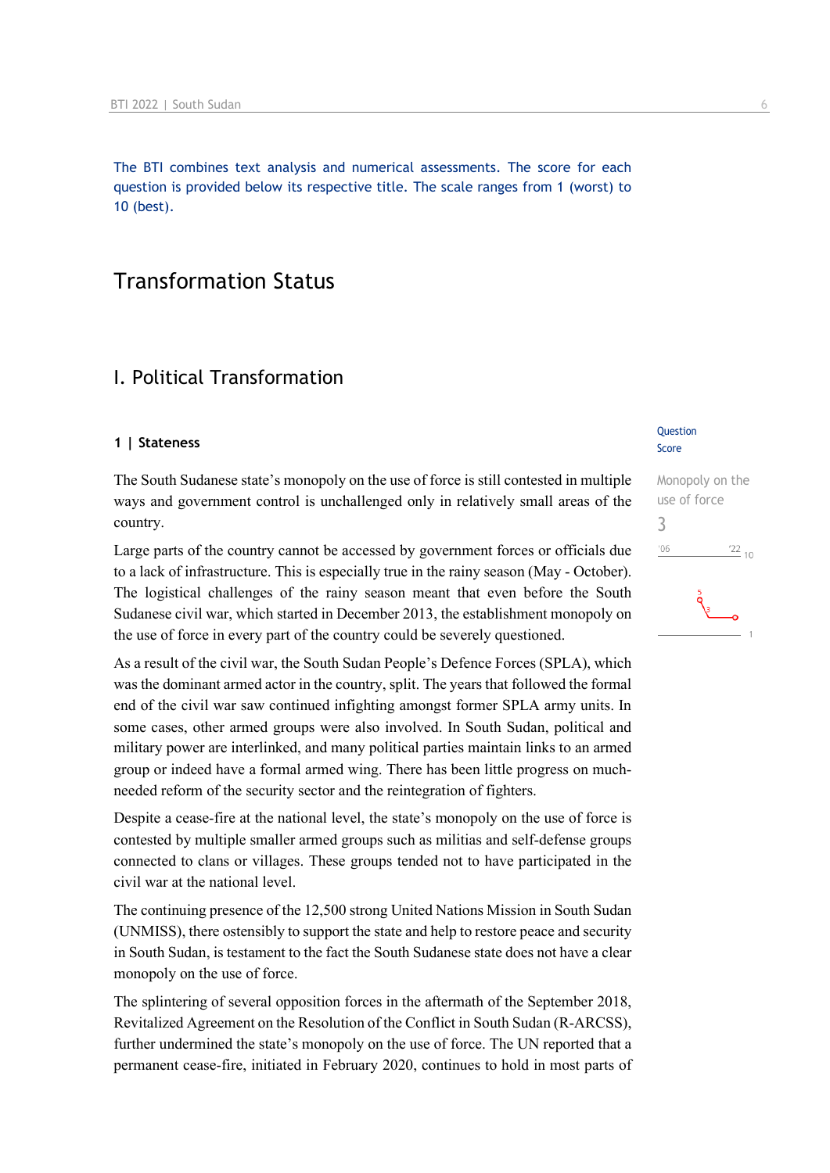The BTI combines text analysis and numerical assessments. The score for each question is provided below its respective title. The scale ranges from 1 (worst) to 10 (best).

## Transformation Status

## I. Political Transformation

## **1 | Stateness**

The South Sudanese state's monopoly on the use of force is still contested in multiple ways and government control is unchallenged only in relatively small areas of the country.

Large parts of the country cannot be accessed by government forces or officials due to a lack of infrastructure. This is especially true in the rainy season (May - October). The logistical challenges of the rainy season meant that even before the South Sudanese civil war, which started in December 2013, the establishment monopoly on the use of force in every part of the country could be severely questioned.

As a result of the civil war, the South Sudan People's Defence Forces (SPLA), which was the dominant armed actor in the country, split. The years that followed the formal end of the civil war saw continued infighting amongst former SPLA army units. In some cases, other armed groups were also involved. In South Sudan, political and military power are interlinked, and many political parties maintain links to an armed group or indeed have a formal armed wing. There has been little progress on muchneeded reform of the security sector and the reintegration of fighters.

Despite a cease-fire at the national level, the state's monopoly on the use of force is contested by multiple smaller armed groups such as militias and self-defense groups connected to clans or villages. These groups tended not to have participated in the civil war at the national level.

The continuing presence of the 12,500 strong United Nations Mission in South Sudan (UNMISS), there ostensibly to support the state and help to restore peace and security in South Sudan, is testament to the fact the South Sudanese state does not have a clear monopoly on the use of force.

The splintering of several opposition forces in the aftermath of the September 2018, Revitalized Agreement on the Resolution of the Conflict in South Sudan (R-ARCSS), further undermined the state's monopoly on the use of force. The UN reported that a permanent cease-fire, initiated in February 2020, continues to hold in most parts of

#### **Question** Score

Monopoly on the use of force 3 $\frac{22}{10}$  $'06$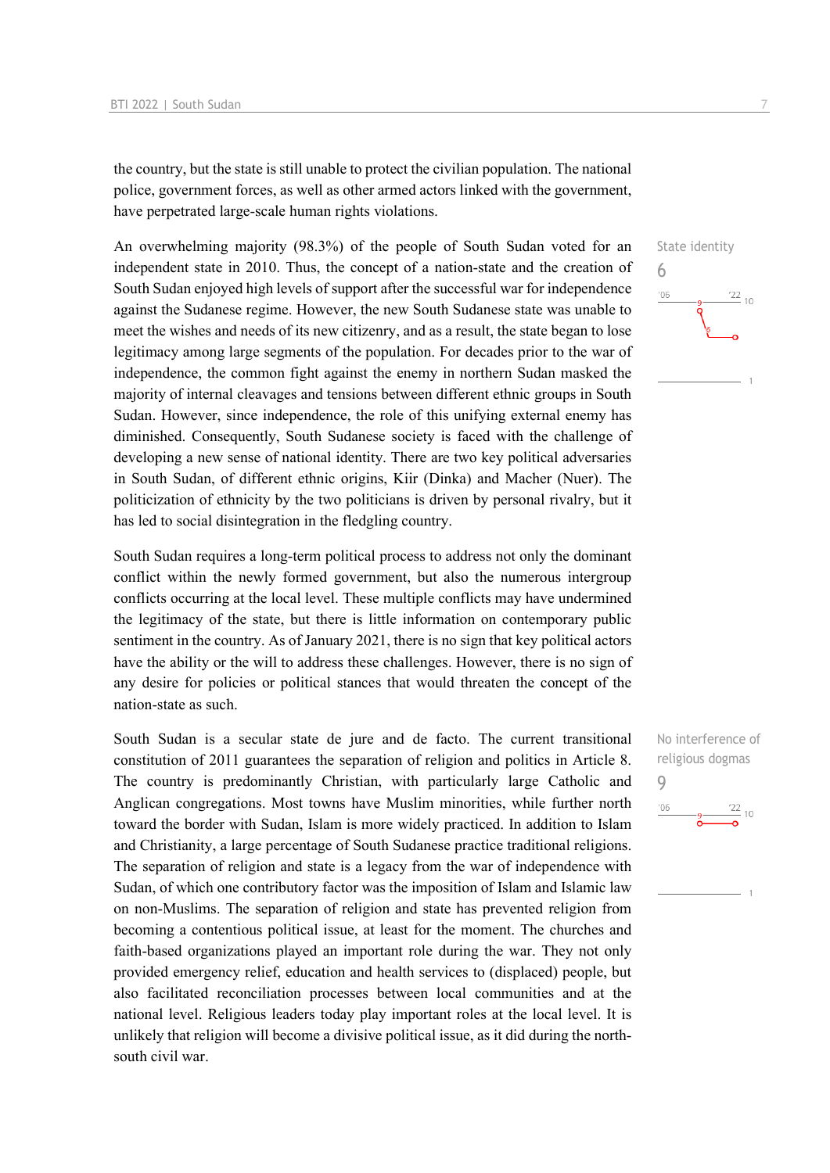the country, but the state is still unable to protect the civilian population. The national police, government forces, as well as other armed actors linked with the government, have perpetrated large-scale human rights violations.

An overwhelming majority (98.3%) of the people of South Sudan voted for an independent state in 2010. Thus, the concept of a nation-state and the creation of South Sudan enjoyed high levels of support after the successful war for independence against the Sudanese regime. However, the new South Sudanese state was unable to meet the wishes and needs of its new citizenry, and as a result, the state began to lose legitimacy among large segments of the population. For decades prior to the war of independence, the common fight against the enemy in northern Sudan masked the majority of internal cleavages and tensions between different ethnic groups in South Sudan. However, since independence, the role of this unifying external enemy has diminished. Consequently, South Sudanese society is faced with the challenge of developing a new sense of national identity. There are two key political adversaries in South Sudan, of different ethnic origins, Kiir (Dinka) and Macher (Nuer). The politicization of ethnicity by the two politicians is driven by personal rivalry, but it has led to social disintegration in the fledgling country.

South Sudan requires a long-term political process to address not only the dominant conflict within the newly formed government, but also the numerous intergroup conflicts occurring at the local level. These multiple conflicts may have undermined the legitimacy of the state, but there is little information on contemporary public sentiment in the country. As of January 2021, there is no sign that key political actors have the ability or the will to address these challenges. However, there is no sign of any desire for policies or political stances that would threaten the concept of the nation-state as such.

South Sudan is a secular state de jure and de facto. The current transitional constitution of 2011 guarantees the separation of religion and politics in Article 8. The country is predominantly Christian, with particularly large Catholic and Anglican congregations. Most towns have Muslim minorities, while further north toward the border with Sudan, Islam is more widely practiced. In addition to Islam and Christianity, a large percentage of South Sudanese practice traditional religions. The separation of religion and state is a legacy from the war of independence with Sudan, of which one contributory factor was the imposition of Islam and Islamic law on non-Muslims. The separation of religion and state has prevented religion from becoming a contentious political issue, at least for the moment. The churches and faith-based organizations played an important role during the war. They not only provided emergency relief, education and health services to (displaced) people, but also facilitated reconciliation processes between local communities and at the national level. Religious leaders today play important roles at the local level. It is unlikely that religion will become a divisive political issue, as it did during the northsouth civil war.



No interference of religious dogmas 9 $'06$  $\frac{22}{10}$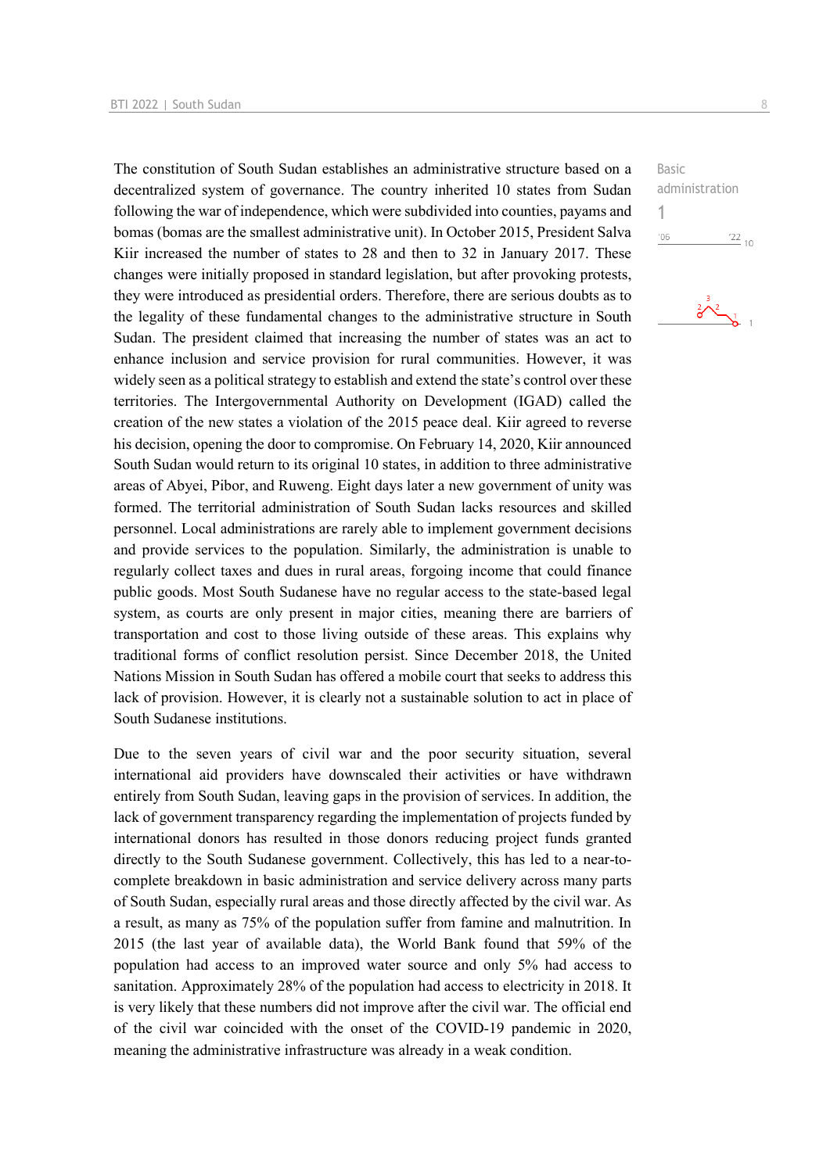The constitution of South Sudan establishes an administrative structure based on a decentralized system of governance. The country inherited 10 states from Sudan following the war of independence, which were subdivided into counties, payams and bomas (bomas are the smallest administrative unit). In October 2015, President Salva Kiir increased the number of states to 28 and then to 32 in January 2017. These changes were initially proposed in standard legislation, but after provoking protests, they were introduced as presidential orders. Therefore, there are serious doubts as to the legality of these fundamental changes to the administrative structure in South Sudan. The president claimed that increasing the number of states was an act to enhance inclusion and service provision for rural communities. However, it was widely seen as a political strategy to establish and extend the state's control over these territories. The Intergovernmental Authority on Development (IGAD) called the creation of the new states a violation of the 2015 peace deal. Kiir agreed to reverse his decision, opening the door to compromise. On February 14, 2020, Kiir announced South Sudan would return to its original 10 states, in addition to three administrative areas of Abyei, Pibor, and Ruweng. Eight days later a new government of unity was formed. The territorial administration of South Sudan lacks resources and skilled personnel. Local administrations are rarely able to implement government decisions and provide services to the population. Similarly, the administration is unable to regularly collect taxes and dues in rural areas, forgoing income that could finance public goods. Most South Sudanese have no regular access to the state-based legal system, as courts are only present in major cities, meaning there are barriers of transportation and cost to those living outside of these areas. This explains why traditional forms of conflict resolution persist. Since December 2018, the United Nations Mission in South Sudan has offered a mobile court that seeks to address this lack of provision. However, it is clearly not a sustainable solution to act in place of South Sudanese institutions.

Due to the seven years of civil war and the poor security situation, several international aid providers have downscaled their activities or have withdrawn entirely from South Sudan, leaving gaps in the provision of services. In addition, the lack of government transparency regarding the implementation of projects funded by international donors has resulted in those donors reducing project funds granted directly to the South Sudanese government. Collectively, this has led to a near-tocomplete breakdown in basic administration and service delivery across many parts of South Sudan, especially rural areas and those directly affected by the civil war. As a result, as many as 75% of the population suffer from famine and malnutrition. In 2015 (the last year of available data), the World Bank found that 59% of the population had access to an improved water source and only 5% had access to sanitation. Approximately 28% of the population had access to electricity in 2018. It is very likely that these numbers did not improve after the civil war. The official end of the civil war coincided with the onset of the COVID-19 pandemic in 2020, meaning the administrative infrastructure was already in a weak condition.

Basic administration 1 $^{\prime}06$  $\frac{22}{10}$ 

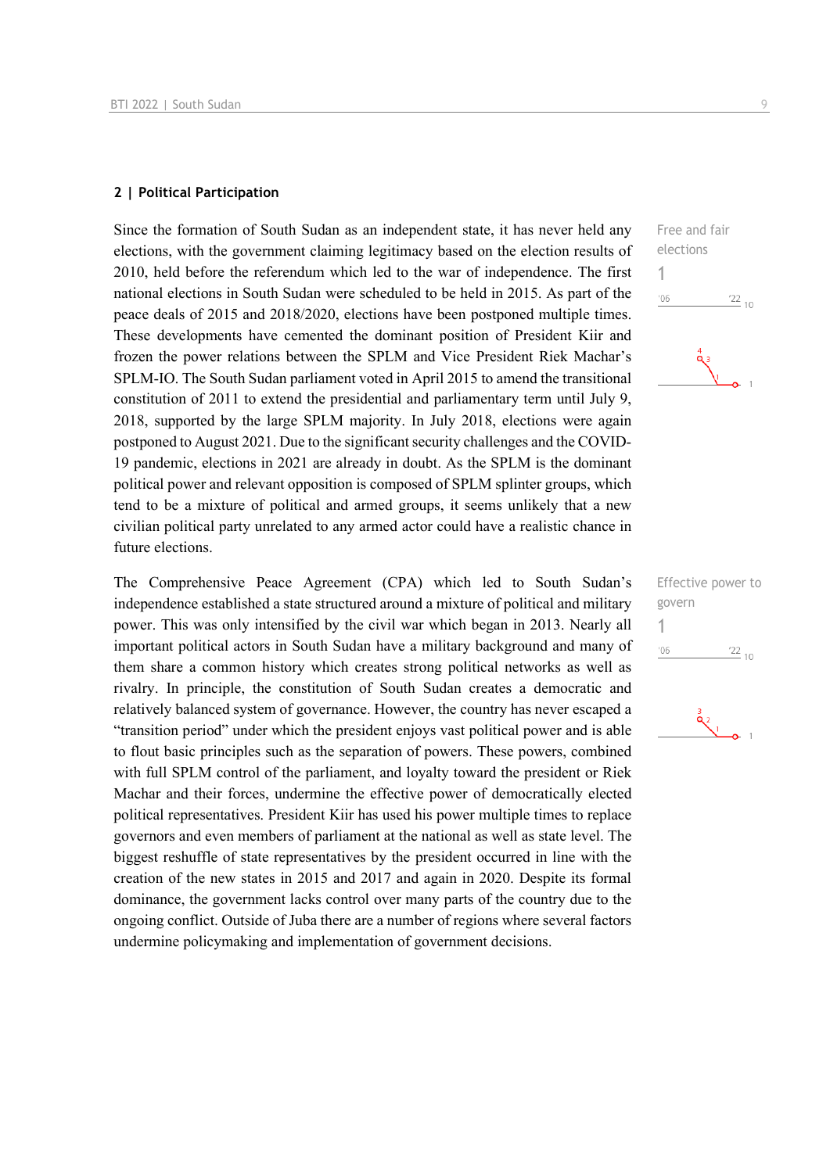#### **2 | Political Participation**

Since the formation of South Sudan as an independent state, it has never held any elections, with the government claiming legitimacy based on the election results of 2010, held before the referendum which led to the war of independence. The first national elections in South Sudan were scheduled to be held in 2015. As part of the peace deals of 2015 and 2018/2020, elections have been postponed multiple times. These developments have cemented the dominant position of President Kiir and frozen the power relations between the SPLM and Vice President Riek Machar's SPLM-IO. The South Sudan parliament voted in April 2015 to amend the transitional constitution of 2011 to extend the presidential and parliamentary term until July 9, 2018, supported by the large SPLM majority. In July 2018, elections were again postponed to August 2021. Due to the significant security challenges and the COVID-19 pandemic, elections in 2021 are already in doubt. As the SPLM is the dominant political power and relevant opposition is composed of SPLM splinter groups, which tend to be a mixture of political and armed groups, it seems unlikely that a new civilian political party unrelated to any armed actor could have a realistic chance in future elections.

The Comprehensive Peace Agreement (CPA) which led to South Sudan's independence established a state structured around a mixture of political and military power. This was only intensified by the civil war which began in 2013. Nearly all important political actors in South Sudan have a military background and many of them share a common history which creates strong political networks as well as rivalry. In principle, the constitution of South Sudan creates a democratic and relatively balanced system of governance. However, the country has never escaped a "transition period" under which the president enjoys vast political power and is able to flout basic principles such as the separation of powers. These powers, combined with full SPLM control of the parliament, and loyalty toward the president or Riek Machar and their forces, undermine the effective power of democratically elected political representatives. President Kiir has used his power multiple times to replace governors and even members of parliament at the national as well as state level. The biggest reshuffle of state representatives by the president occurred in line with the creation of the new states in 2015 and 2017 and again in 2020. Despite its formal dominance, the government lacks control over many parts of the country due to the ongoing conflict. Outside of Juba there are a number of regions where several factors undermine policymaking and implementation of government decisions.



Effective power to govern 1 $'06$  $\frac{22}{10}$ 

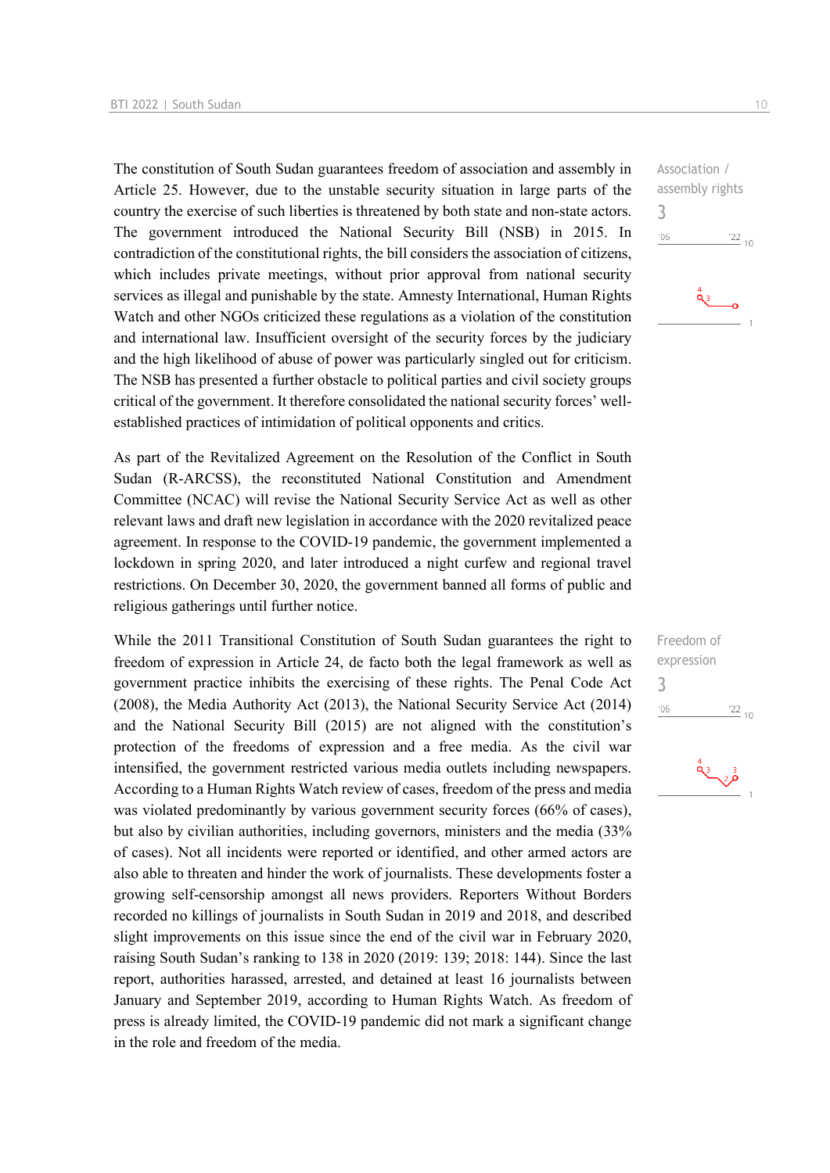The constitution of South Sudan guarantees freedom of association and assembly in Article 25. However, due to the unstable security situation in large parts of the country the exercise of such liberties is threatened by both state and non-state actors. The government introduced the National Security Bill (NSB) in 2015. In contradiction of the constitutional rights, the bill considers the association of citizens, which includes private meetings, without prior approval from national security services as illegal and punishable by the state. Amnesty International, Human Rights Watch and other NGOs criticized these regulations as a violation of the constitution and international law. Insufficient oversight of the security forces by the judiciary and the high likelihood of abuse of power was particularly singled out for criticism. The NSB has presented a further obstacle to political parties and civil society groups critical of the government. It therefore consolidated the national security forces' wellestablished practices of intimidation of political opponents and critics.

As part of the Revitalized Agreement on the Resolution of the Conflict in South Sudan (R-ARCSS), the reconstituted National Constitution and Amendment Committee (NCAC) will revise the National Security Service Act as well as other relevant laws and draft new legislation in accordance with the 2020 revitalized peace agreement. In response to the COVID-19 pandemic, the government implemented a lockdown in spring 2020, and later introduced a night curfew and regional travel restrictions. On December 30, 2020, the government banned all forms of public and religious gatherings until further notice.

While the 2011 Transitional Constitution of South Sudan guarantees the right to freedom of expression in Article 24, de facto both the legal framework as well as government practice inhibits the exercising of these rights. The Penal Code Act (2008), the Media Authority Act (2013), the National Security Service Act (2014) and the National Security Bill (2015) are not aligned with the constitution's protection of the freedoms of expression and a free media. As the civil war intensified, the government restricted various media outlets including newspapers. According to a Human Rights Watch review of cases, freedom of the press and media was violated predominantly by various government security forces (66% of cases), but also by civilian authorities, including governors, ministers and the media (33% of cases). Not all incidents were reported or identified, and other armed actors are also able to threaten and hinder the work of journalists. These developments foster a growing self-censorship amongst all news providers. Reporters Without Borders recorded no killings of journalists in South Sudan in 2019 and 2018, and described slight improvements on this issue since the end of the civil war in February 2020, raising South Sudan's ranking to 138 in 2020 (2019: 139; 2018: 144). Since the last report, authorities harassed, arrested, and detained at least 16 journalists between January and September 2019, according to Human Rights Watch. As freedom of press is already limited, the COVID-19 pandemic did not mark a significant change in the role and freedom of the media.

Association / assembly rights 3  $^{\prime}06$  $\frac{22}{10}$ 

Freedom of expression 3 $\frac{22}{10}$  $'06$ 

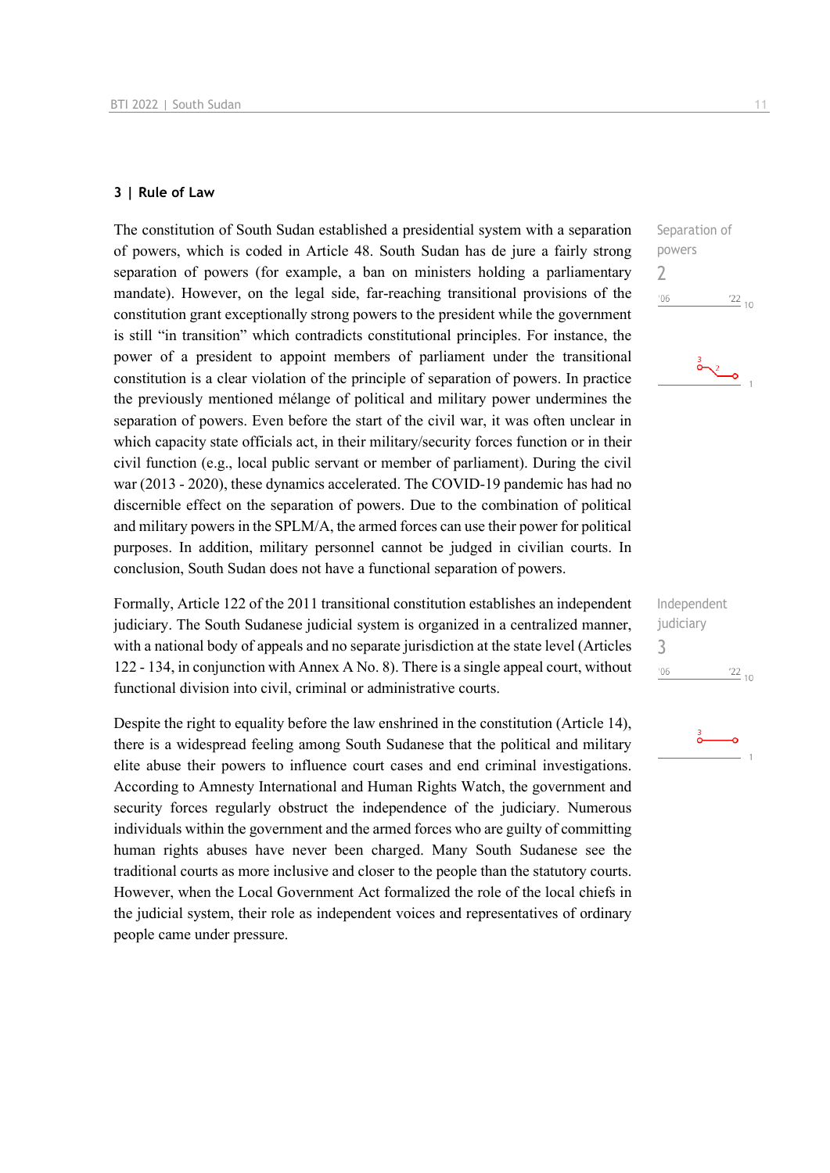#### **3 | Rule of Law**

The constitution of South Sudan established a presidential system with a separation of powers, which is coded in Article 48. South Sudan has de jure a fairly strong separation of powers (for example, a ban on ministers holding a parliamentary mandate). However, on the legal side, far-reaching transitional provisions of the constitution grant exceptionally strong powers to the president while the government is still "in transition" which contradicts constitutional principles. For instance, the power of a president to appoint members of parliament under the transitional constitution is a clear violation of the principle of separation of powers. In practice the previously mentioned mélange of political and military power undermines the separation of powers. Even before the start of the civil war, it was often unclear in which capacity state officials act, in their military/security forces function or in their civil function (e.g., local public servant or member of parliament). During the civil war (2013 - 2020), these dynamics accelerated. The COVID-19 pandemic has had no discernible effect on the separation of powers. Due to the combination of political and military powers in the SPLM/A, the armed forces can use their power for political purposes. In addition, military personnel cannot be judged in civilian courts. In conclusion, South Sudan does not have a functional separation of powers.

Formally, Article 122 of the 2011 transitional constitution establishes an independent judiciary. The South Sudanese judicial system is organized in a centralized manner, with a national body of appeals and no separate jurisdiction at the state level (Articles 122 - 134, in conjunction with Annex A No. 8). There is a single appeal court, without functional division into civil, criminal or administrative courts.

Despite the right to equality before the law enshrined in the constitution (Article 14), there is a widespread feeling among South Sudanese that the political and military elite abuse their powers to influence court cases and end criminal investigations. According to Amnesty International and Human Rights Watch, the government and security forces regularly obstruct the independence of the judiciary. Numerous individuals within the government and the armed forces who are guilty of committing human rights abuses have never been charged. Many South Sudanese see the traditional courts as more inclusive and closer to the people than the statutory courts. However, when the Local Government Act formalized the role of the local chiefs in the judicial system, their role as independent voices and representatives of ordinary people came under pressure.

Separation of powers 2  $06'$  $\frac{22}{10}$ 

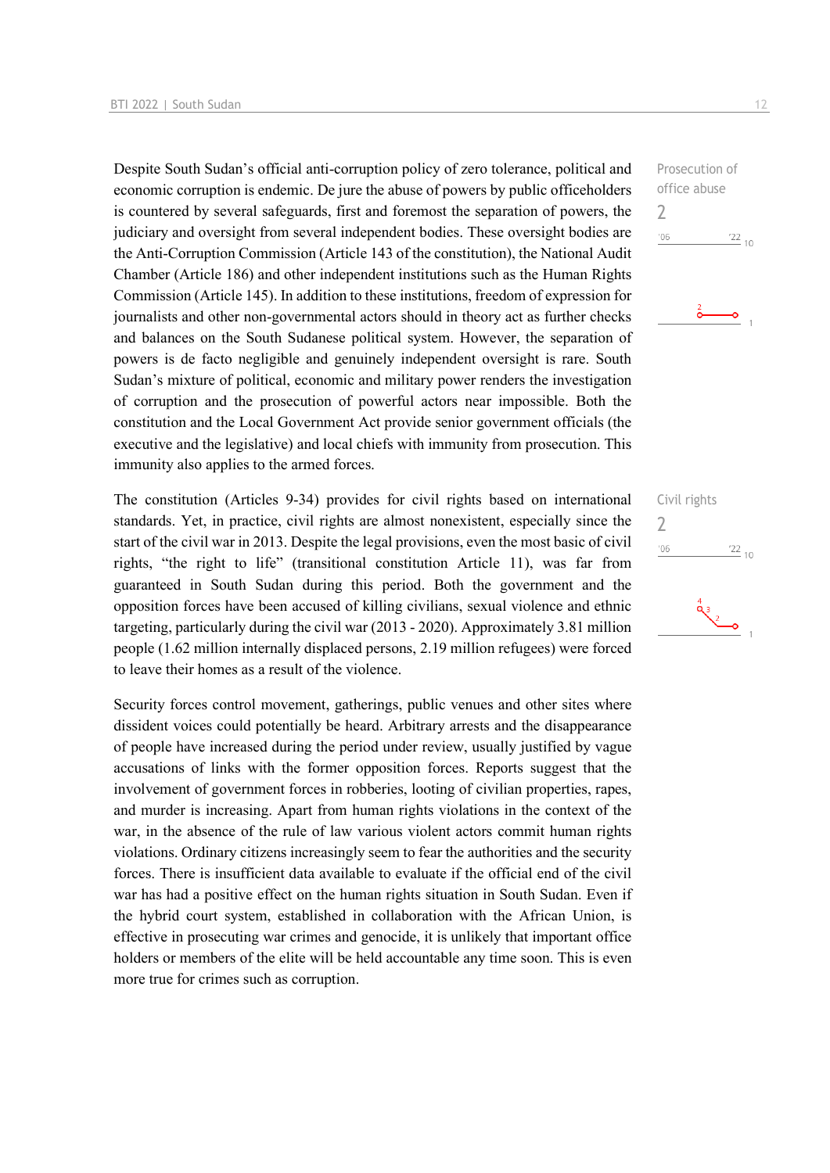Despite South Sudan's official anti-corruption policy of zero tolerance, political and economic corruption is endemic. De jure the abuse of powers by public officeholders is countered by several safeguards, first and foremost the separation of powers, the judiciary and oversight from several independent bodies. These oversight bodies are the Anti-Corruption Commission (Article 143 of the constitution), the National Audit Chamber (Article 186) and other independent institutions such as the Human Rights Commission (Article 145). In addition to these institutions, freedom of expression for journalists and other non-governmental actors should in theory act as further checks and balances on the South Sudanese political system. However, the separation of powers is de facto negligible and genuinely independent oversight is rare. South Sudan's mixture of political, economic and military power renders the investigation of corruption and the prosecution of powerful actors near impossible. Both the constitution and the Local Government Act provide senior government officials (the executive and the legislative) and local chiefs with immunity from prosecution. This immunity also applies to the armed forces.

The constitution (Articles 9-34) provides for civil rights based on international standards. Yet, in practice, civil rights are almost nonexistent, especially since the start of the civil war in 2013. Despite the legal provisions, even the most basic of civil rights, "the right to life" (transitional constitution Article 11), was far from guaranteed in South Sudan during this period. Both the government and the opposition forces have been accused of killing civilians, sexual violence and ethnic targeting, particularly during the civil war (2013 - 2020). Approximately 3.81 million people (1.62 million internally displaced persons, 2.19 million refugees) were forced to leave their homes as a result of the violence.

Security forces control movement, gatherings, public venues and other sites where dissident voices could potentially be heard. Arbitrary arrests and the disappearance of people have increased during the period under review, usually justified by vague accusations of links with the former opposition forces. Reports suggest that the involvement of government forces in robberies, looting of civilian properties, rapes, and murder is increasing. Apart from human rights violations in the context of the war, in the absence of the rule of law various violent actors commit human rights violations. Ordinary citizens increasingly seem to fear the authorities and the security forces. There is insufficient data available to evaluate if the official end of the civil war has had a positive effect on the human rights situation in South Sudan. Even if the hybrid court system, established in collaboration with the African Union, is effective in prosecuting war crimes and genocide, it is unlikely that important office holders or members of the elite will be held accountable any time soon. This is even more true for crimes such as corruption.

Prosecution of office abuse 2  $^{\prime}06$  $\frac{22}{10}$ 



Civil rights  $\overline{\phantom{0}}$  $06'$  $\frac{22}{10}$ 

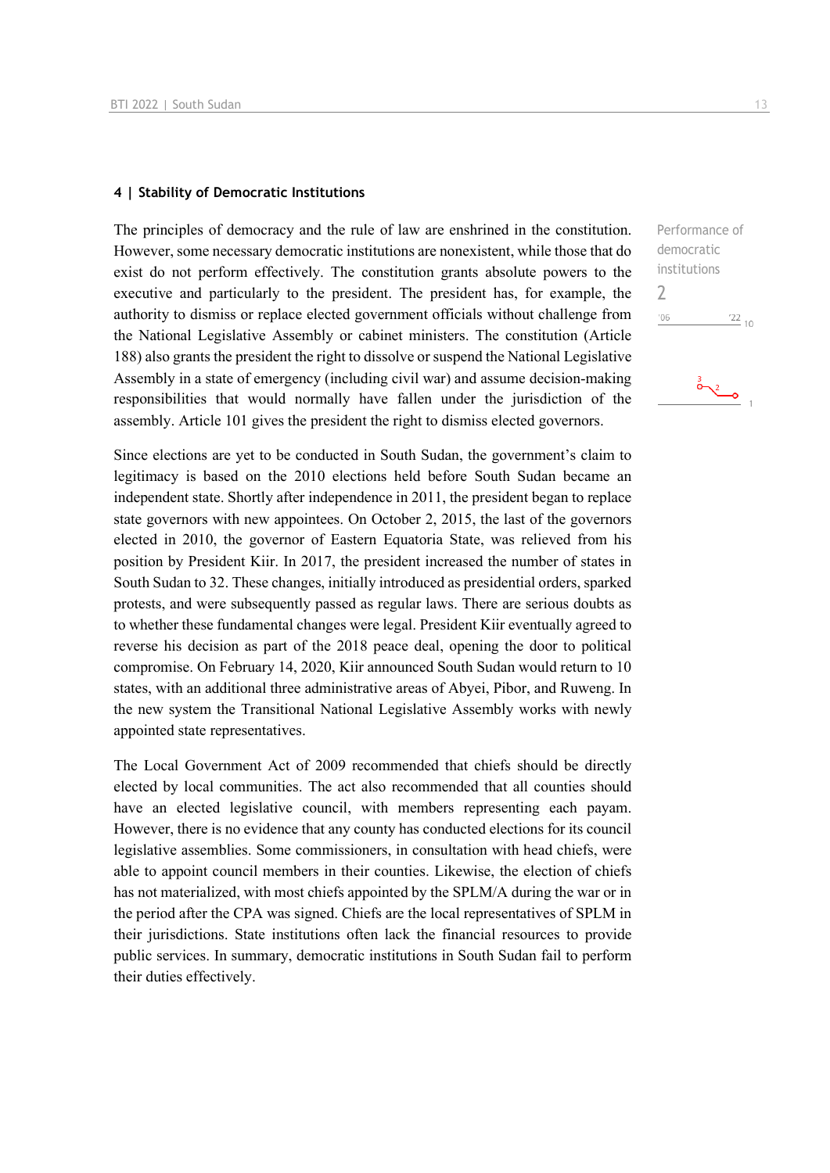## **4 | Stability of Democratic Institutions**

The principles of democracy and the rule of law are enshrined in the constitution. However, some necessary democratic institutions are nonexistent, while those that do exist do not perform effectively. The constitution grants absolute powers to the executive and particularly to the president. The president has, for example, the authority to dismiss or replace elected government officials without challenge from the National Legislative Assembly or cabinet ministers. The constitution (Article 188) also grants the president the right to dissolve or suspend the National Legislative Assembly in a state of emergency (including civil war) and assume decision-making responsibilities that would normally have fallen under the jurisdiction of the assembly. Article 101 gives the president the right to dismiss elected governors.

Since elections are yet to be conducted in South Sudan, the government's claim to legitimacy is based on the 2010 elections held before South Sudan became an independent state. Shortly after independence in 2011, the president began to replace state governors with new appointees. On October 2, 2015, the last of the governors elected in 2010, the governor of Eastern Equatoria State, was relieved from his position by President Kiir. In 2017, the president increased the number of states in South Sudan to 32. These changes, initially introduced as presidential orders, sparked protests, and were subsequently passed as regular laws. There are serious doubts as to whether these fundamental changes were legal. President Kiir eventually agreed to reverse his decision as part of the 2018 peace deal, opening the door to political compromise. On February 14, 2020, Kiir announced South Sudan would return to 10 states, with an additional three administrative areas of Abyei, Pibor, and Ruweng. In the new system the Transitional National Legislative Assembly works with newly appointed state representatives.

The Local Government Act of 2009 recommended that chiefs should be directly elected by local communities. The act also recommended that all counties should have an elected legislative council, with members representing each payam. However, there is no evidence that any county has conducted elections for its council legislative assemblies. Some commissioners, in consultation with head chiefs, were able to appoint council members in their counties. Likewise, the election of chiefs has not materialized, with most chiefs appointed by the SPLM/A during the war or in the period after the CPA was signed. Chiefs are the local representatives of SPLM in their jurisdictions. State institutions often lack the financial resources to provide public services. In summary, democratic institutions in South Sudan fail to perform their duties effectively.

Performance of democratic institutions 2 $\frac{22}{10}$  $'06$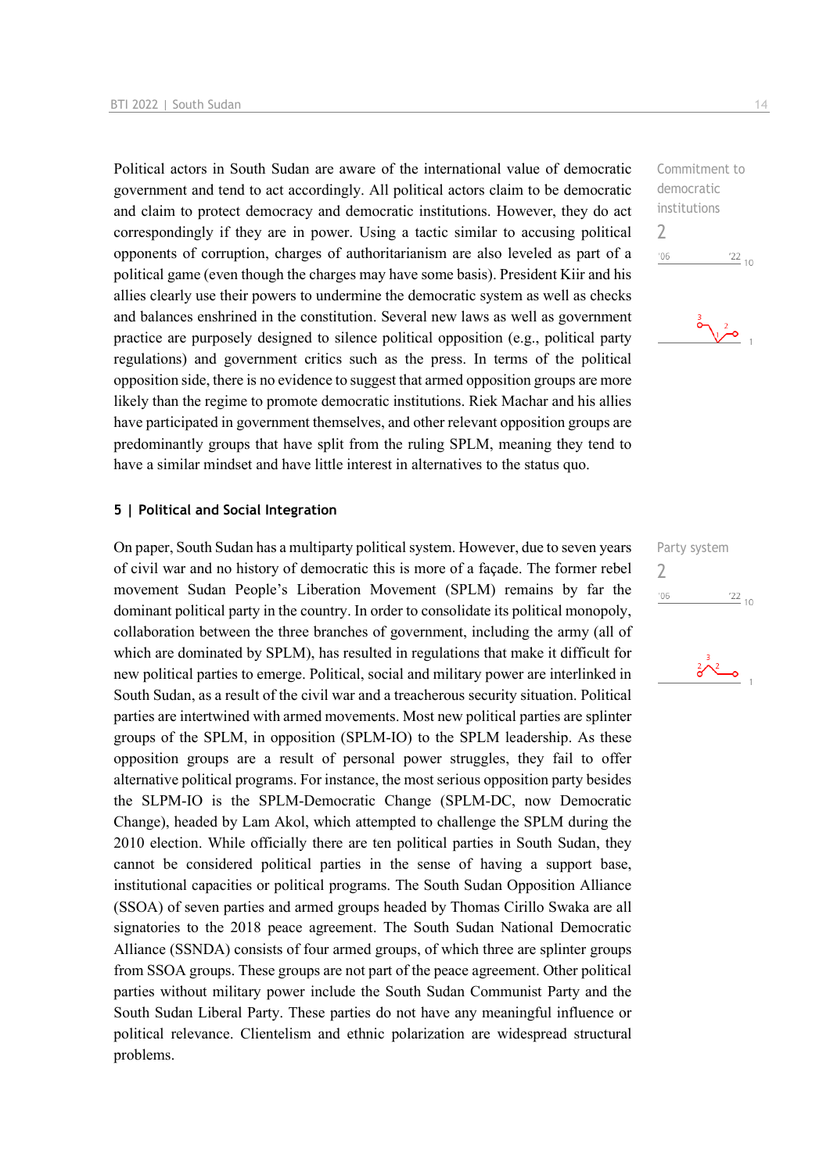Political actors in South Sudan are aware of the international value of democratic government and tend to act accordingly. All political actors claim to be democratic and claim to protect democracy and democratic institutions. However, they do act correspondingly if they are in power. Using a tactic similar to accusing political opponents of corruption, charges of authoritarianism are also leveled as part of a political game (even though the charges may have some basis). President Kiir and his allies clearly use their powers to undermine the democratic system as well as checks and balances enshrined in the constitution. Several new laws as well as government practice are purposely designed to silence political opposition (e.g., political party regulations) and government critics such as the press. In terms of the political opposition side, there is no evidence to suggest that armed opposition groups are more likely than the regime to promote democratic institutions. Riek Machar and his allies have participated in government themselves, and other relevant opposition groups are predominantly groups that have split from the ruling SPLM, meaning they tend to have a similar mindset and have little interest in alternatives to the status quo.

## **5 | Political and Social Integration**

On paper, South Sudan has a multiparty political system. However, due to seven years of civil war and no history of democratic this is more of a façade. The former rebel movement Sudan People's Liberation Movement (SPLM) remains by far the dominant political party in the country. In order to consolidate its political monopoly, collaboration between the three branches of government, including the army (all of which are dominated by SPLM), has resulted in regulations that make it difficult for new political parties to emerge. Political, social and military power are interlinked in South Sudan, as a result of the civil war and a treacherous security situation. Political parties are intertwined with armed movements. Most new political parties are splinter groups of the SPLM, in opposition (SPLM-IO) to the SPLM leadership. As these opposition groups are a result of personal power struggles, they fail to offer alternative political programs. For instance, the most serious opposition party besides the SLPM-IO is the SPLM-Democratic Change (SPLM-DC, now Democratic Change), headed by Lam Akol, which attempted to challenge the SPLM during the 2010 election. While officially there are ten political parties in South Sudan, they cannot be considered political parties in the sense of having a support base, institutional capacities or political programs. The South Sudan Opposition Alliance (SSOA) of seven parties and armed groups headed by Thomas Cirillo Swaka are all signatories to the 2018 peace agreement. The South Sudan National Democratic Alliance (SSNDA) consists of four armed groups, of which three are splinter groups from SSOA groups. These groups are not part of the peace agreement. Other political parties without military power include the South Sudan Communist Party and the South Sudan Liberal Party. These parties do not have any meaningful influence or political relevance. Clientelism and ethnic polarization are widespread structural problems.

Commitment to democratic institutions 2  $106$  $\frac{22}{10}$ 



Party system 2 $06'$  $\frac{22}{10}$ 

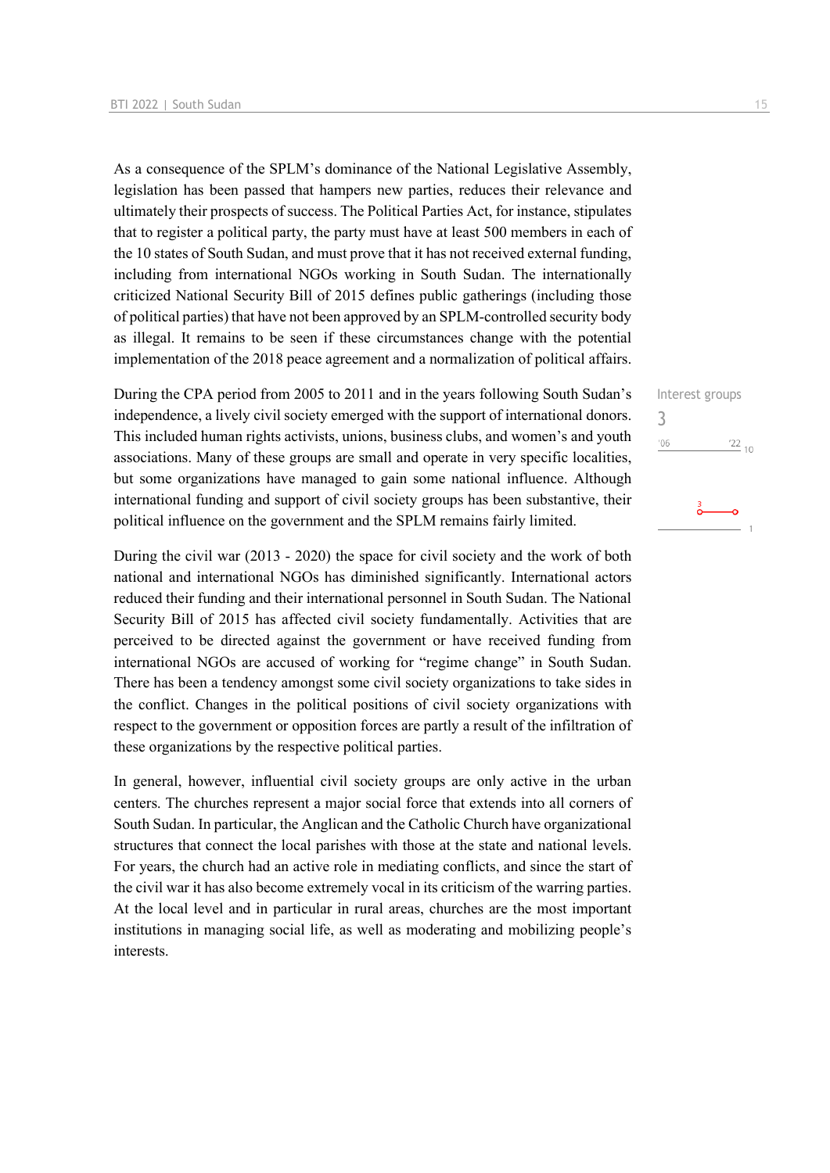As a consequence of the SPLM's dominance of the National Legislative Assembly, legislation has been passed that hampers new parties, reduces their relevance and ultimately their prospects of success. The Political Parties Act, for instance, stipulates that to register a political party, the party must have at least 500 members in each of the 10 states of South Sudan, and must prove that it has not received external funding, including from international NGOs working in South Sudan. The internationally criticized National Security Bill of 2015 defines public gatherings (including those of political parties) that have not been approved by an SPLM-controlled security body as illegal. It remains to be seen if these circumstances change with the potential implementation of the 2018 peace agreement and a normalization of political affairs.

During the CPA period from 2005 to 2011 and in the years following South Sudan's independence, a lively civil society emerged with the support of international donors. This included human rights activists, unions, business clubs, and women's and youth associations. Many of these groups are small and operate in very specific localities, but some organizations have managed to gain some national influence. Although international funding and support of civil society groups has been substantive, their political influence on the government and the SPLM remains fairly limited.

During the civil war (2013 - 2020) the space for civil society and the work of both national and international NGOs has diminished significantly. International actors reduced their funding and their international personnel in South Sudan. The National Security Bill of 2015 has affected civil society fundamentally. Activities that are perceived to be directed against the government or have received funding from international NGOs are accused of working for "regime change" in South Sudan. There has been a tendency amongst some civil society organizations to take sides in the conflict. Changes in the political positions of civil society organizations with respect to the government or opposition forces are partly a result of the infiltration of these organizations by the respective political parties.

In general, however, influential civil society groups are only active in the urban centers. The churches represent a major social force that extends into all corners of South Sudan. In particular, the Anglican and the Catholic Church have organizational structures that connect the local parishes with those at the state and national levels. For years, the church had an active role in mediating conflicts, and since the start of the civil war it has also become extremely vocal in its criticism of the warring parties. At the local level and in particular in rural areas, churches are the most important institutions in managing social life, as well as moderating and mobilizing people's interests.

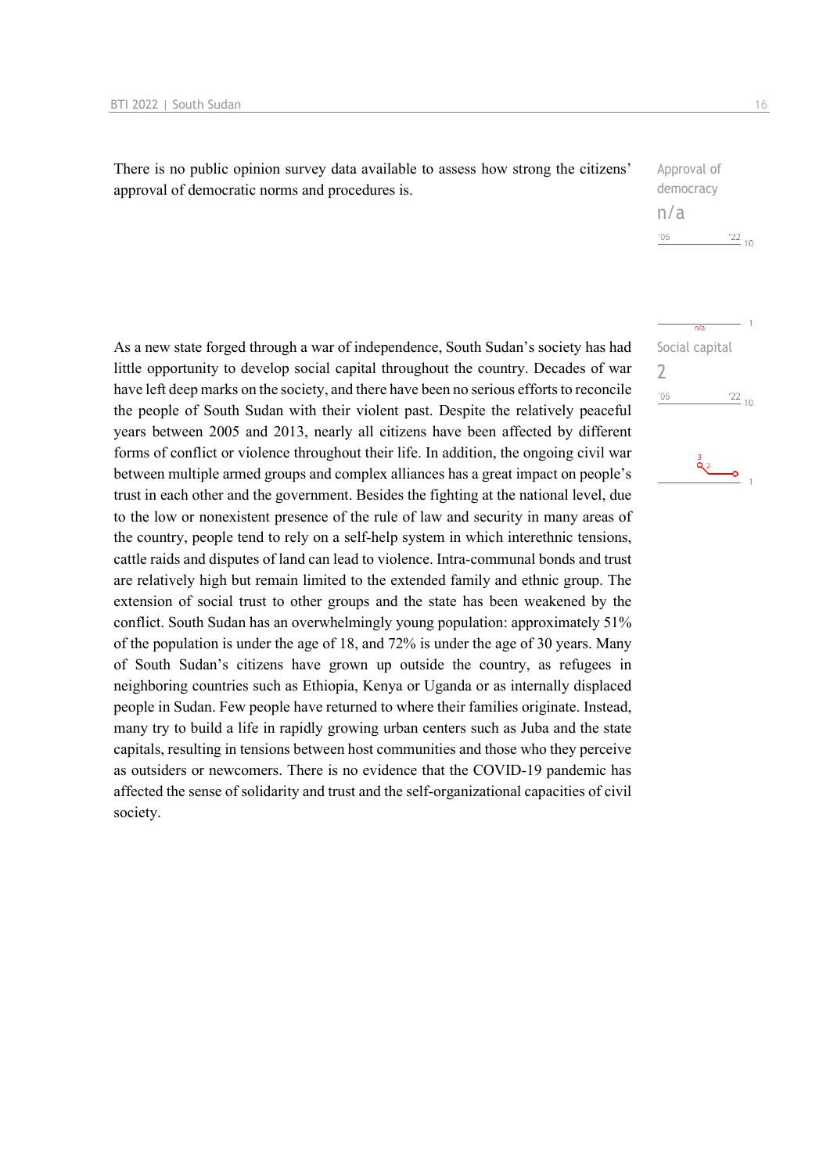There is no public opinion survey data available to assess how strong the citizens' approval of democratic norms and procedures is.

| Approval of    |     |
|----------------|-----|
| democracy      |     |
| n/a            |     |
| $^{\prime}$ 06 | 122 |

Social capital

 $n/s$ 

2

 $106$ 

As a new state forged through a war of independence, South Sudan's society has had little opportunity to develop social capital throughout the country. Decades of war have left deep marks on the society, and there have been no serious efforts to reconcile the people of South Sudan with their violent past. Despite the relatively peaceful years between 2005 and 2013, nearly all citizens have been affected by different forms of conflict or violence throughout their life. In addition, the ongoing civil war between multiple armed groups and complex alliances has a great impact on people's trust in each other and the government. Besides the fighting at the national level, due to the low or nonexistent presence of the rule of law and security in many areas of the country, people tend to rely on a self-help system in which interethnic tensions, cattle raids and disputes of land can lead to violence. Intra-communal bonds and trust are relatively high but remain limited to the extended family and ethnic group. The extension of social trust to other groups and the state has been weakened by the conflict. South Sudan has an overwhelmingly young population: approximately 51% of the population is under the age of 18, and 72% is under the age of 30 years. Many of South Sudan's citizens have grown up outside the country, as refugees in neighboring countries such as Ethiopia, Kenya or Uganda or as internally displaced people in Sudan. Few people have returned to where their families originate. Instead, many try to build a life in rapidly growing urban centers such as Juba and the state capitals, resulting in tensions between host communities and those who they perceive as outsiders or newcomers. There is no evidence that the COVID-19 pandemic has affected the sense of solidarity and trust and the self-organizational capacities of civil society.

 $10$ 

 $\frac{22}{10}$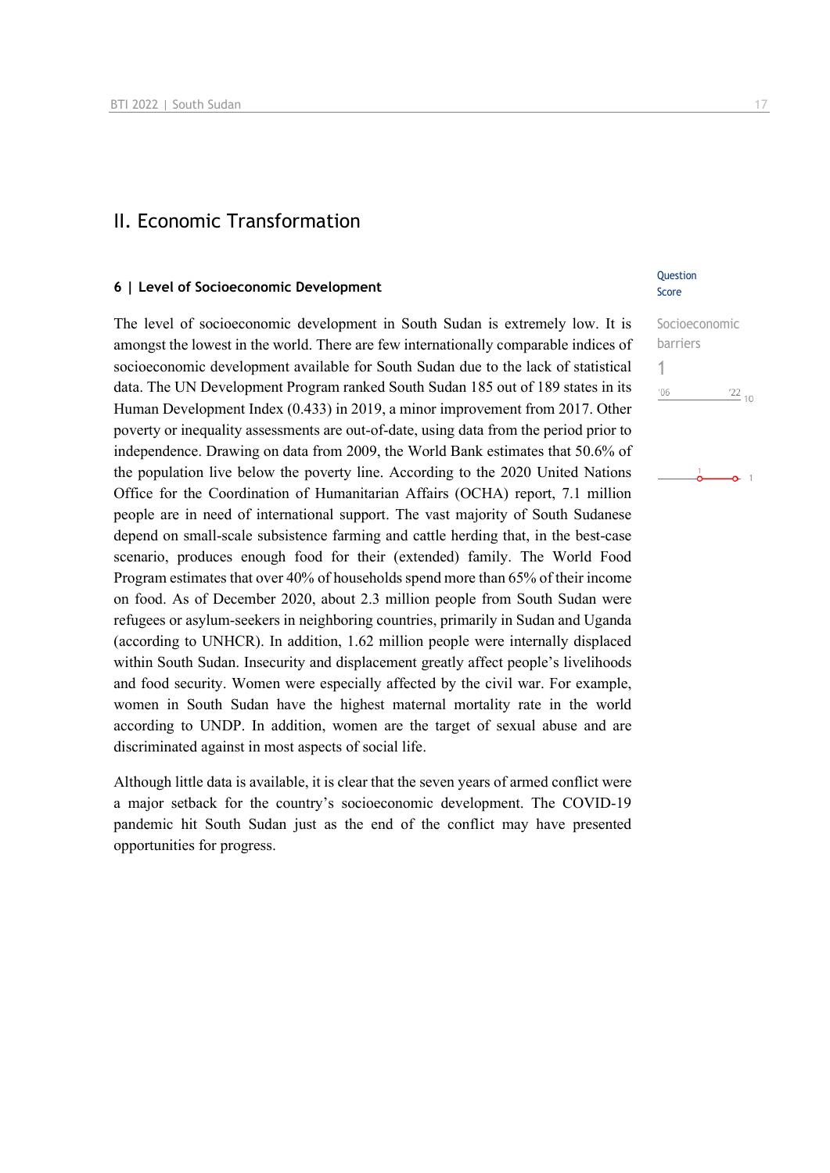## II. Economic Transformation

## **6 | Level of Socioeconomic Development**

The level of socioeconomic development in South Sudan is extremely low. It is amongst the lowest in the world. There are few internationally comparable indices of socioeconomic development available for South Sudan due to the lack of statistical data. The UN Development Program ranked South Sudan 185 out of 189 states in its Human Development Index (0.433) in 2019, a minor improvement from 2017. Other poverty or inequality assessments are out-of-date, using data from the period prior to independence. Drawing on data from 2009, the World Bank estimates that 50.6% of the population live below the poverty line. According to the 2020 United Nations Office for the Coordination of Humanitarian Affairs (OCHA) report, 7.1 million people are in need of international support. The vast majority of South Sudanese depend on small-scale subsistence farming and cattle herding that, in the best-case scenario, produces enough food for their (extended) family. The World Food Program estimates that over 40% of households spend more than 65% of their income on food. As of December 2020, about 2.3 million people from South Sudan were refugees or asylum-seekers in neighboring countries, primarily in Sudan and Uganda (according to UNHCR). In addition, 1.62 million people were internally displaced within South Sudan. Insecurity and displacement greatly affect people's livelihoods and food security. Women were especially affected by the civil war. For example, women in South Sudan have the highest maternal mortality rate in the world according to UNDP. In addition, women are the target of sexual abuse and are discriminated against in most aspects of social life.

Although little data is available, it is clear that the seven years of armed conflict were a major setback for the country's socioeconomic development. The COVID-19 pandemic hit South Sudan just as the end of the conflict may have presented opportunities for progress.

## **Ouestion** Score

## Socioeconomic barriers 1 $06'$  $\frac{22}{10}$

ò.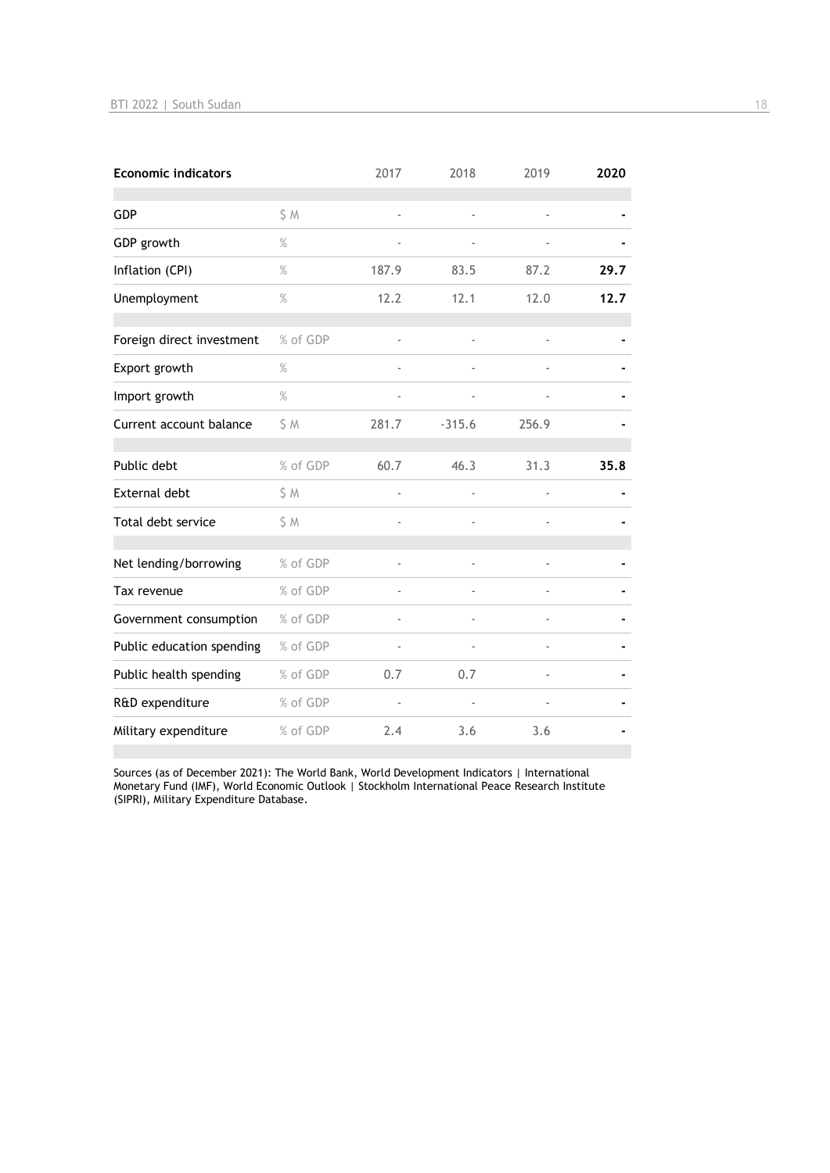| <b>Economic indicators</b> |          | 2017                     | 2018     | 2019  | 2020 |
|----------------------------|----------|--------------------------|----------|-------|------|
| <b>GDP</b>                 | S M      | ÷,                       |          | ÷,    |      |
| GDP growth                 | $\%$     | $\overline{\phantom{a}}$ |          |       |      |
| Inflation (CPI)            | $\%$     | 187.9                    | 83.5     | 87.2  | 29.7 |
| Unemployment               | $\%$     | 12.2                     | 12.1     | 12.0  | 12.7 |
| Foreign direct investment  | % of GDP |                          |          |       |      |
| Export growth              | $\%$     |                          |          |       |      |
| Import growth              | $\%$     |                          |          |       |      |
| Current account balance    | \$M      | 281.7                    | $-315.6$ | 256.9 |      |
| Public debt                | % of GDP | 60.7                     | 46.3     | 31.3  | 35.8 |
| <b>External debt</b>       | \$ M     |                          |          |       |      |
| Total debt service         | \$M      | $\overline{a}$           |          |       |      |
| Net lending/borrowing      | % of GDP |                          |          |       |      |
| Tax revenue                | % of GDP |                          |          |       |      |
| Government consumption     | % of GDP |                          |          |       |      |
| Public education spending  | % of GDP | $\blacksquare$           |          |       |      |
| Public health spending     | % of GDP | 0.7                      | 0.7      |       |      |
| R&D expenditure            | % of GDP |                          |          |       |      |
| Military expenditure       | % of GDP | 2.4                      | 3.6      | 3.6   |      |

Sources (as of December 2021): The World Bank, World Development Indicators | International Monetary Fund (IMF), World Economic Outlook | Stockholm International Peace Research Institute (SIPRI), Military Expenditure Database.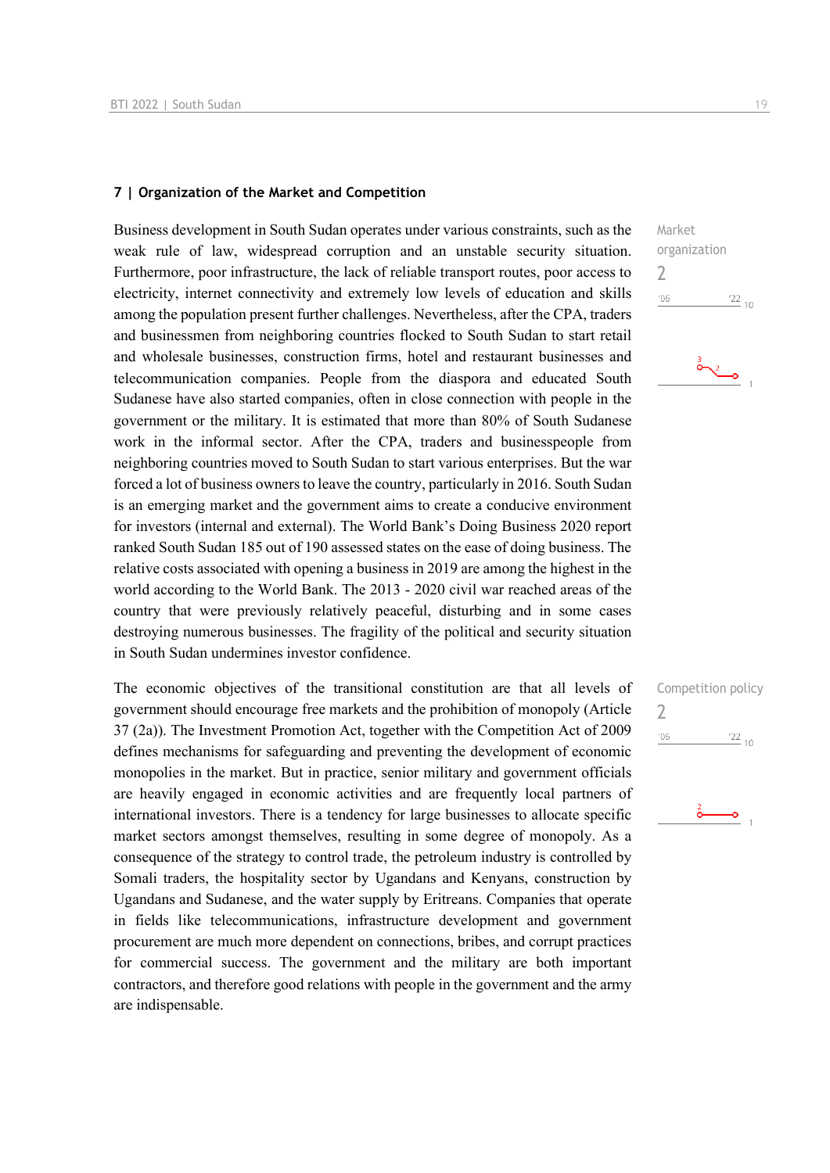#### **7 | Organization of the Market and Competition**

Business development in South Sudan operates under various constraints, such as the weak rule of law, widespread corruption and an unstable security situation. Furthermore, poor infrastructure, the lack of reliable transport routes, poor access to electricity, internet connectivity and extremely low levels of education and skills among the population present further challenges. Nevertheless, after the CPA, traders and businessmen from neighboring countries flocked to South Sudan to start retail and wholesale businesses, construction firms, hotel and restaurant businesses and telecommunication companies. People from the diaspora and educated South Sudanese have also started companies, often in close connection with people in the government or the military. It is estimated that more than 80% of South Sudanese work in the informal sector. After the CPA, traders and businesspeople from neighboring countries moved to South Sudan to start various enterprises. But the war forced a lot of business owners to leave the country, particularly in 2016. South Sudan is an emerging market and the government aims to create a conducive environment for investors (internal and external). The World Bank's Doing Business 2020 report ranked South Sudan 185 out of 190 assessed states on the ease of doing business. The relative costs associated with opening a business in 2019 are among the highest in the world according to the World Bank. The 2013 - 2020 civil war reached areas of the country that were previously relatively peaceful, disturbing and in some cases destroying numerous businesses. The fragility of the political and security situation in South Sudan undermines investor confidence.

The economic objectives of the transitional constitution are that all levels of government should encourage free markets and the prohibition of monopoly (Article 37 (2a)). The Investment Promotion Act, together with the Competition Act of 2009 defines mechanisms for safeguarding and preventing the development of economic monopolies in the market. But in practice, senior military and government officials are heavily engaged in economic activities and are frequently local partners of international investors. There is a tendency for large businesses to allocate specific market sectors amongst themselves, resulting in some degree of monopoly. As a consequence of the strategy to control trade, the petroleum industry is controlled by Somali traders, the hospitality sector by Ugandans and Kenyans, construction by Ugandans and Sudanese, and the water supply by Eritreans. Companies that operate in fields like telecommunications, infrastructure development and government procurement are much more dependent on connections, bribes, and corrupt practices for commercial success. The government and the military are both important contractors, and therefore good relations with people in the government and the army are indispensable.





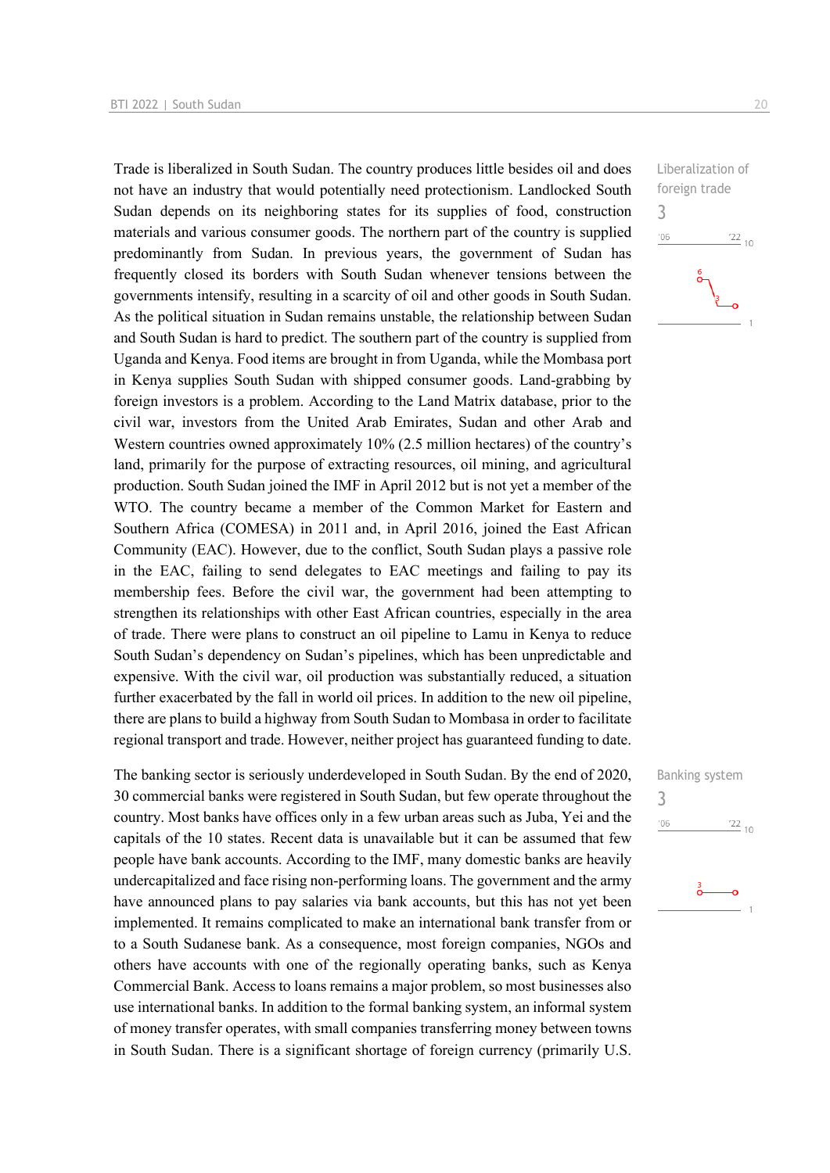Trade is liberalized in South Sudan. The country produces little besides oil and does not have an industry that would potentially need protectionism. Landlocked South Sudan depends on its neighboring states for its supplies of food, construction materials and various consumer goods. The northern part of the country is supplied predominantly from Sudan. In previous years, the government of Sudan has frequently closed its borders with South Sudan whenever tensions between the governments intensify, resulting in a scarcity of oil and other goods in South Sudan. As the political situation in Sudan remains unstable, the relationship between Sudan and South Sudan is hard to predict. The southern part of the country is supplied from Uganda and Kenya. Food items are brought in from Uganda, while the Mombasa port in Kenya supplies South Sudan with shipped consumer goods. Land-grabbing by foreign investors is a problem. According to the Land Matrix database, prior to the civil war, investors from the United Arab Emirates, Sudan and other Arab and Western countries owned approximately 10% (2.5 million hectares) of the country's land, primarily for the purpose of extracting resources, oil mining, and agricultural production. South Sudan joined the IMF in April 2012 but is not yet a member of the WTO. The country became a member of the Common Market for Eastern and Southern Africa (COMESA) in 2011 and, in April 2016, joined the East African Community (EAC). However, due to the conflict, South Sudan plays a passive role in the EAC, failing to send delegates to EAC meetings and failing to pay its membership fees. Before the civil war, the government had been attempting to strengthen its relationships with other East African countries, especially in the area of trade. There were plans to construct an oil pipeline to Lamu in Kenya to reduce South Sudan's dependency on Sudan's pipelines, which has been unpredictable and expensive. With the civil war, oil production was substantially reduced, a situation further exacerbated by the fall in world oil prices. In addition to the new oil pipeline, there are plans to build a highway from South Sudan to Mombasa in order to facilitate regional transport and trade. However, neither project has guaranteed funding to date.

The banking sector is seriously underdeveloped in South Sudan. By the end of 2020, 30 commercial banks were registered in South Sudan, but few operate throughout the country. Most banks have offices only in a few urban areas such as Juba, Yei and the capitals of the 10 states. Recent data is unavailable but it can be assumed that few people have bank accounts. According to the IMF, many domestic banks are heavily undercapitalized and face rising non-performing loans. The government and the army have announced plans to pay salaries via bank accounts, but this has not yet been implemented. It remains complicated to make an international bank transfer from or to a South Sudanese bank. As a consequence, most foreign companies, NGOs and others have accounts with one of the regionally operating banks, such as Kenya Commercial Bank. Access to loans remains a major problem, so most businesses also use international banks. In addition to the formal banking system, an informal system of money transfer operates, with small companies transferring money between towns in South Sudan. There is a significant shortage of foreign currency (primarily U.S.

Liberalization of foreign trade 3  $^{\prime}06$  $\frac{22}{10}$ 

Banking system

 $\frac{22}{10}$ 

3

 $106$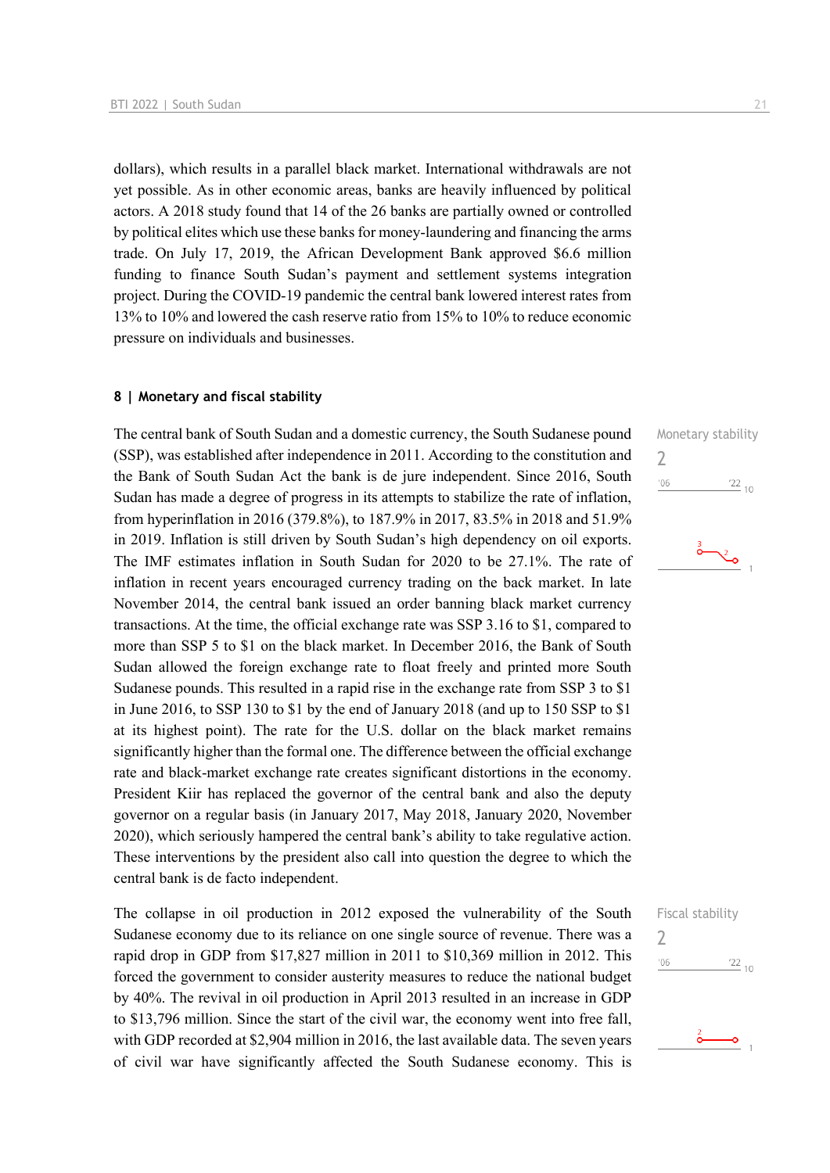dollars), which results in a parallel black market. International withdrawals are not yet possible. As in other economic areas, banks are heavily influenced by political actors. A 2018 study found that 14 of the 26 banks are partially owned or controlled by political elites which use these banks for money-laundering and financing the arms trade. On July 17, 2019, the African Development Bank approved \$6.6 million funding to finance South Sudan's payment and settlement systems integration project. During the COVID-19 pandemic the central bank lowered interest rates from 13% to 10% and lowered the cash reserve ratio from 15% to 10% to reduce economic pressure on individuals and businesses.

### **8 | Monetary and fiscal stability**

The central bank of South Sudan and a domestic currency, the South Sudanese pound (SSP), was established after independence in 2011. According to the constitution and the Bank of South Sudan Act the bank is de jure independent. Since 2016, South Sudan has made a degree of progress in its attempts to stabilize the rate of inflation, from hyperinflation in 2016 (379.8%), to 187.9% in 2017, 83.5% in 2018 and 51.9% in 2019. Inflation is still driven by South Sudan's high dependency on oil exports. The IMF estimates inflation in South Sudan for 2020 to be 27.1%. The rate of inflation in recent years encouraged currency trading on the back market. In late November 2014, the central bank issued an order banning black market currency transactions. At the time, the official exchange rate was SSP 3.16 to \$1, compared to more than SSP 5 to \$1 on the black market. In December 2016, the Bank of South Sudan allowed the foreign exchange rate to float freely and printed more South Sudanese pounds. This resulted in a rapid rise in the exchange rate from SSP 3 to \$1 in June 2016, to SSP 130 to \$1 by the end of January 2018 (and up to 150 SSP to \$1 at its highest point). The rate for the U.S. dollar on the black market remains significantly higher than the formal one. The difference between the official exchange rate and black-market exchange rate creates significant distortions in the economy. President Kiir has replaced the governor of the central bank and also the deputy governor on a regular basis (in January 2017, May 2018, January 2020, November 2020), which seriously hampered the central bank's ability to take regulative action. These interventions by the president also call into question the degree to which the central bank is de facto independent.

The collapse in oil production in 2012 exposed the vulnerability of the South Sudanese economy due to its reliance on one single source of revenue. There was a rapid drop in GDP from \$17,827 million in 2011 to \$10,369 million in 2012. This forced the government to consider austerity measures to reduce the national budget by 40%. The revival in oil production in April 2013 resulted in an increase in GDP to \$13,796 million. Since the start of the civil war, the economy went into free fall, with GDP recorded at \$2,904 million in 2016, the last available data. The seven years of civil war have significantly affected the South Sudanese economy. This is





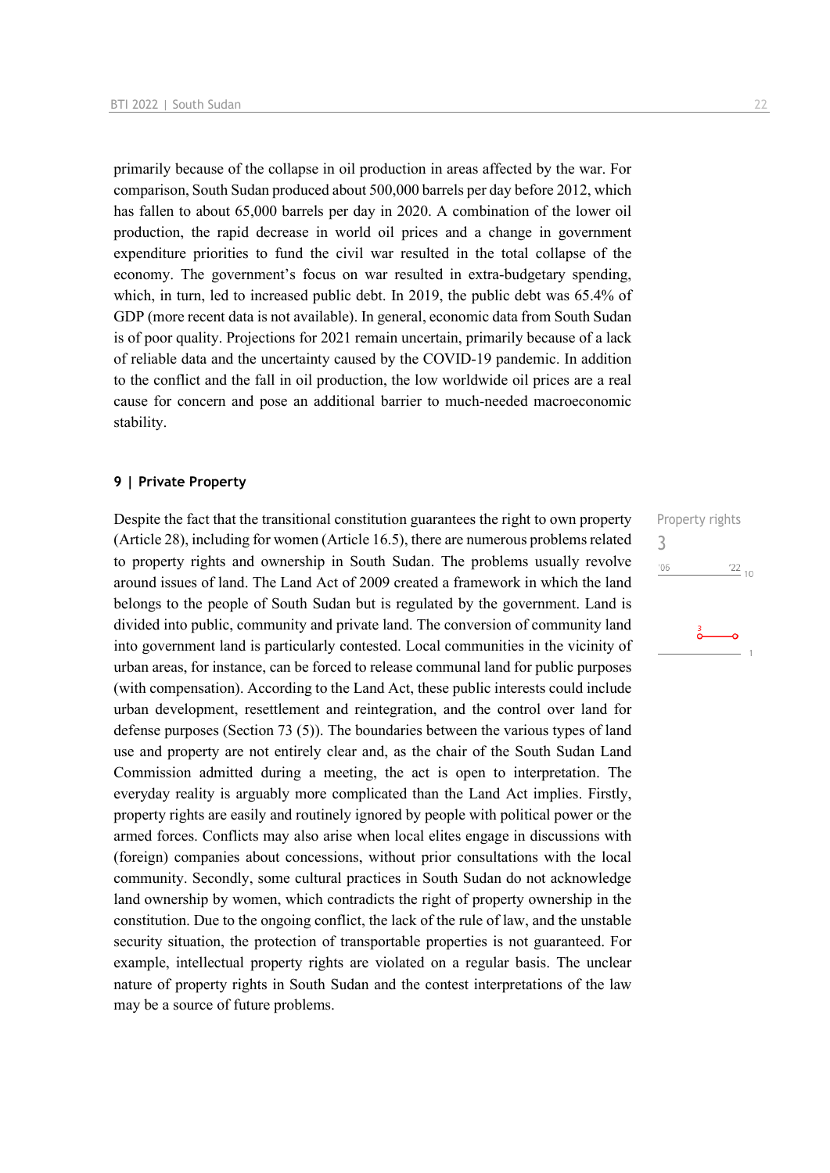primarily because of the collapse in oil production in areas affected by the war. For comparison, South Sudan produced about 500,000 barrels per day before 2012, which has fallen to about 65,000 barrels per day in 2020. A combination of the lower oil production, the rapid decrease in world oil prices and a change in government expenditure priorities to fund the civil war resulted in the total collapse of the economy. The government's focus on war resulted in extra-budgetary spending, which, in turn, led to increased public debt. In 2019, the public debt was 65.4% of GDP (more recent data is not available). In general, economic data from South Sudan is of poor quality. Projections for 2021 remain uncertain, primarily because of a lack of reliable data and the uncertainty caused by the COVID-19 pandemic. In addition to the conflict and the fall in oil production, the low worldwide oil prices are a real cause for concern and pose an additional barrier to much-needed macroeconomic stability.

## **9 | Private Property**

Despite the fact that the transitional constitution guarantees the right to own property (Article 28), including for women (Article 16.5), there are numerous problems related to property rights and ownership in South Sudan. The problems usually revolve around issues of land. The Land Act of 2009 created a framework in which the land belongs to the people of South Sudan but is regulated by the government. Land is divided into public, community and private land. The conversion of community land into government land is particularly contested. Local communities in the vicinity of urban areas, for instance, can be forced to release communal land for public purposes (with compensation). According to the Land Act, these public interests could include urban development, resettlement and reintegration, and the control over land for defense purposes (Section 73 (5)). The boundaries between the various types of land use and property are not entirely clear and, as the chair of the South Sudan Land Commission admitted during a meeting, the act is open to interpretation. The everyday reality is arguably more complicated than the Land Act implies. Firstly, property rights are easily and routinely ignored by people with political power or the armed forces. Conflicts may also arise when local elites engage in discussions with (foreign) companies about concessions, without prior consultations with the local community. Secondly, some cultural practices in South Sudan do not acknowledge land ownership by women, which contradicts the right of property ownership in the constitution. Due to the ongoing conflict, the lack of the rule of law, and the unstable security situation, the protection of transportable properties is not guaranteed. For example, intellectual property rights are violated on a regular basis. The unclear nature of property rights in South Sudan and the contest interpretations of the law may be a source of future problems.

Property rights 3 $'06$  $\frac{22}{10}$  $\frac{3}{\mathbf{O}}$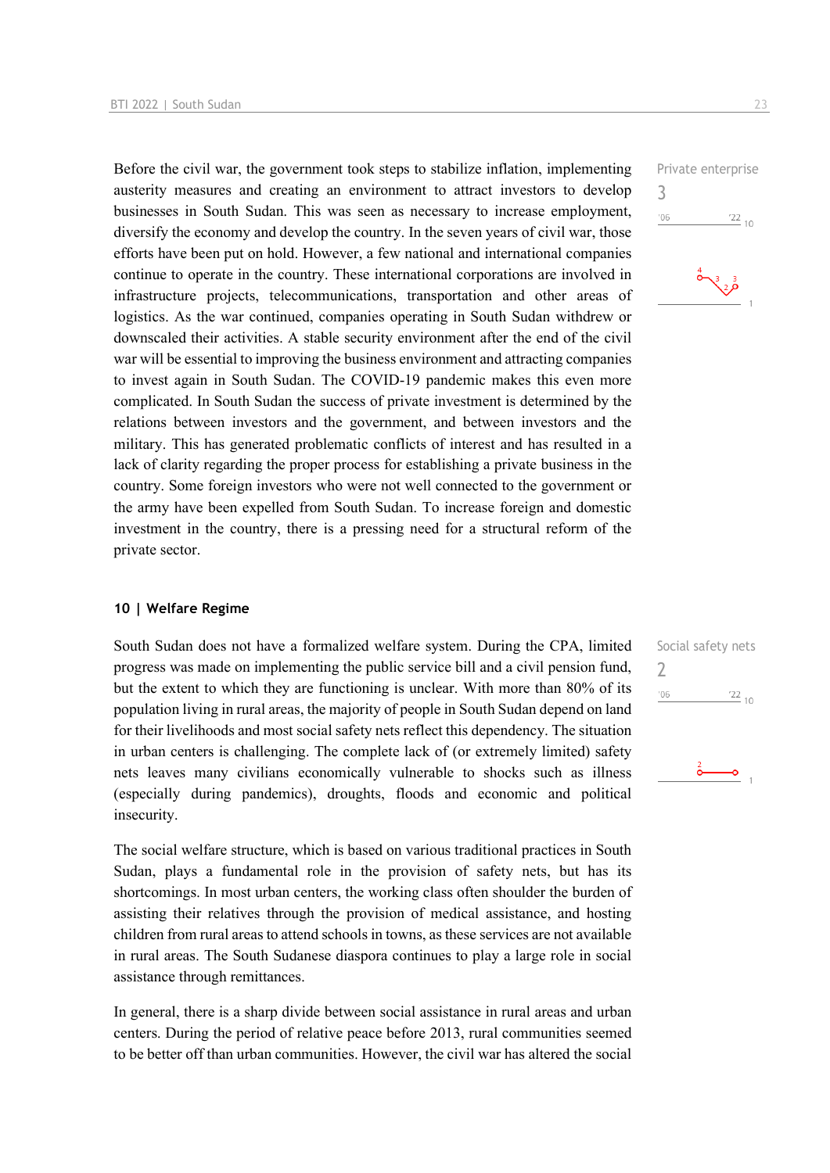Before the civil war, the government took steps to stabilize inflation, implementing austerity measures and creating an environment to attract investors to develop businesses in South Sudan. This was seen as necessary to increase employment, diversify the economy and develop the country. In the seven years of civil war, those efforts have been put on hold. However, a few national and international companies continue to operate in the country. These international corporations are involved in infrastructure projects, telecommunications, transportation and other areas of logistics. As the war continued, companies operating in South Sudan withdrew or downscaled their activities. A stable security environment after the end of the civil war will be essential to improving the business environment and attracting companies to invest again in South Sudan. The COVID-19 pandemic makes this even more complicated. In South Sudan the success of private investment is determined by the relations between investors and the government, and between investors and the military. This has generated problematic conflicts of interest and has resulted in a lack of clarity regarding the proper process for establishing a private business in the country. Some foreign investors who were not well connected to the government or the army have been expelled from South Sudan. To increase foreign and domestic investment in the country, there is a pressing need for a structural reform of the private sector.

## **10 | Welfare Regime**

South Sudan does not have a formalized welfare system. During the CPA, limited progress was made on implementing the public service bill and a civil pension fund, but the extent to which they are functioning is unclear. With more than 80% of its population living in rural areas, the majority of people in South Sudan depend on land for their livelihoods and most social safety nets reflect this dependency. The situation in urban centers is challenging. The complete lack of (or extremely limited) safety nets leaves many civilians economically vulnerable to shocks such as illness (especially during pandemics), droughts, floods and economic and political insecurity.

The social welfare structure, which is based on various traditional practices in South Sudan, plays a fundamental role in the provision of safety nets, but has its shortcomings. In most urban centers, the working class often shoulder the burden of assisting their relatives through the provision of medical assistance, and hosting children from rural areas to attend schools in towns, as these services are not available in rural areas. The South Sudanese diaspora continues to play a large role in social assistance through remittances.

In general, there is a sharp divide between social assistance in rural areas and urban centers. During the period of relative peace before 2013, rural communities seemed to be better off than urban communities. However, the civil war has altered the social

Private enterprise 3  $106$  $^{22}$  10



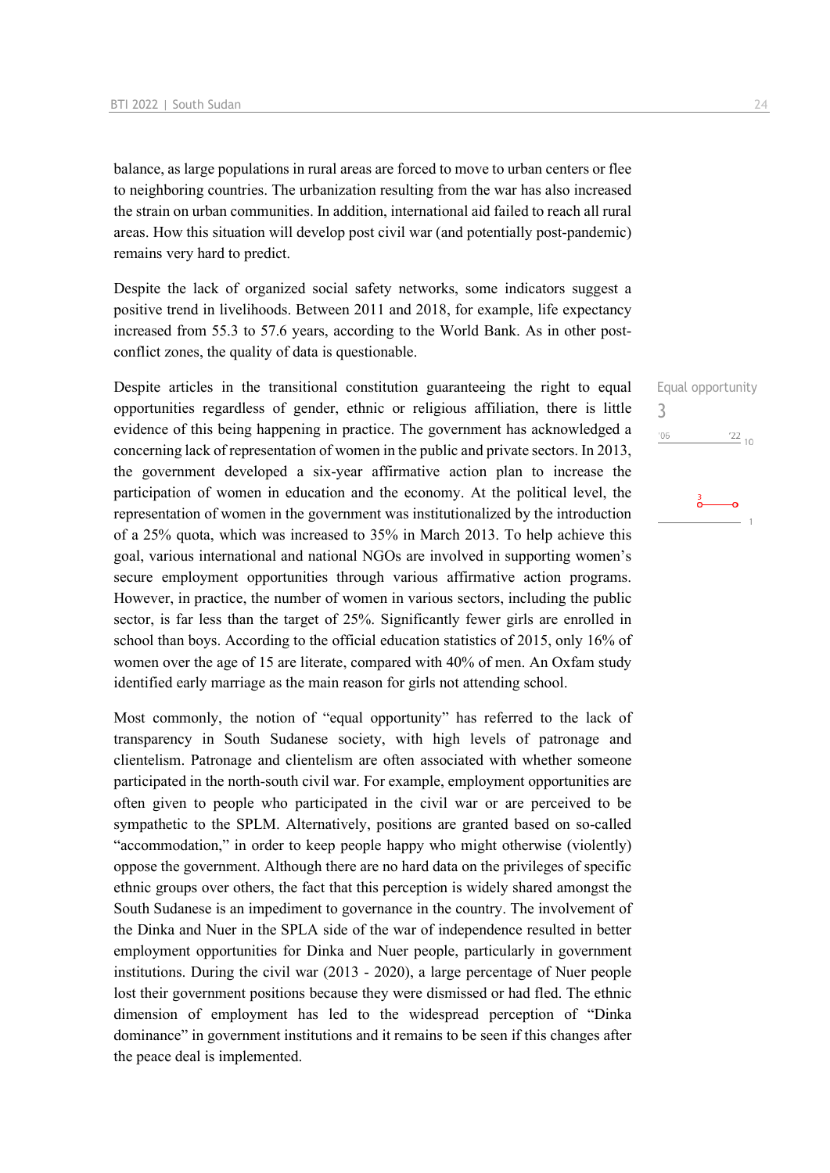balance, as large populations in rural areas are forced to move to urban centers or flee to neighboring countries. The urbanization resulting from the war has also increased the strain on urban communities. In addition, international aid failed to reach all rural areas. How this situation will develop post civil war (and potentially post-pandemic) remains very hard to predict.

Despite the lack of organized social safety networks, some indicators suggest a positive trend in livelihoods. Between 2011 and 2018, for example, life expectancy increased from 55.3 to 57.6 years, according to the World Bank. As in other postconflict zones, the quality of data is questionable.

Despite articles in the transitional constitution guaranteeing the right to equal opportunities regardless of gender, ethnic or religious affiliation, there is little evidence of this being happening in practice. The government has acknowledged a concerning lack of representation of women in the public and private sectors. In 2013, the government developed a six-year affirmative action plan to increase the participation of women in education and the economy. At the political level, the representation of women in the government was institutionalized by the introduction of a 25% quota, which was increased to 35% in March 2013. To help achieve this goal, various international and national NGOs are involved in supporting women's secure employment opportunities through various affirmative action programs. However, in practice, the number of women in various sectors, including the public sector, is far less than the target of 25%. Significantly fewer girls are enrolled in school than boys. According to the official education statistics of 2015, only 16% of women over the age of 15 are literate, compared with 40% of men. An Oxfam study identified early marriage as the main reason for girls not attending school.

Most commonly, the notion of "equal opportunity" has referred to the lack of transparency in South Sudanese society, with high levels of patronage and clientelism. Patronage and clientelism are often associated with whether someone participated in the north-south civil war. For example, employment opportunities are often given to people who participated in the civil war or are perceived to be sympathetic to the SPLM. Alternatively, positions are granted based on so-called "accommodation," in order to keep people happy who might otherwise (violently) oppose the government. Although there are no hard data on the privileges of specific ethnic groups over others, the fact that this perception is widely shared amongst the South Sudanese is an impediment to governance in the country. The involvement of the Dinka and Nuer in the SPLA side of the war of independence resulted in better employment opportunities for Dinka and Nuer people, particularly in government institutions. During the civil war (2013 - 2020), a large percentage of Nuer people lost their government positions because they were dismissed or had fled. The ethnic dimension of employment has led to the widespread perception of "Dinka dominance" in government institutions and it remains to be seen if this changes after the peace deal is implemented.

Equal opportunity

 $\frac{22}{10}$ 

3 $'06$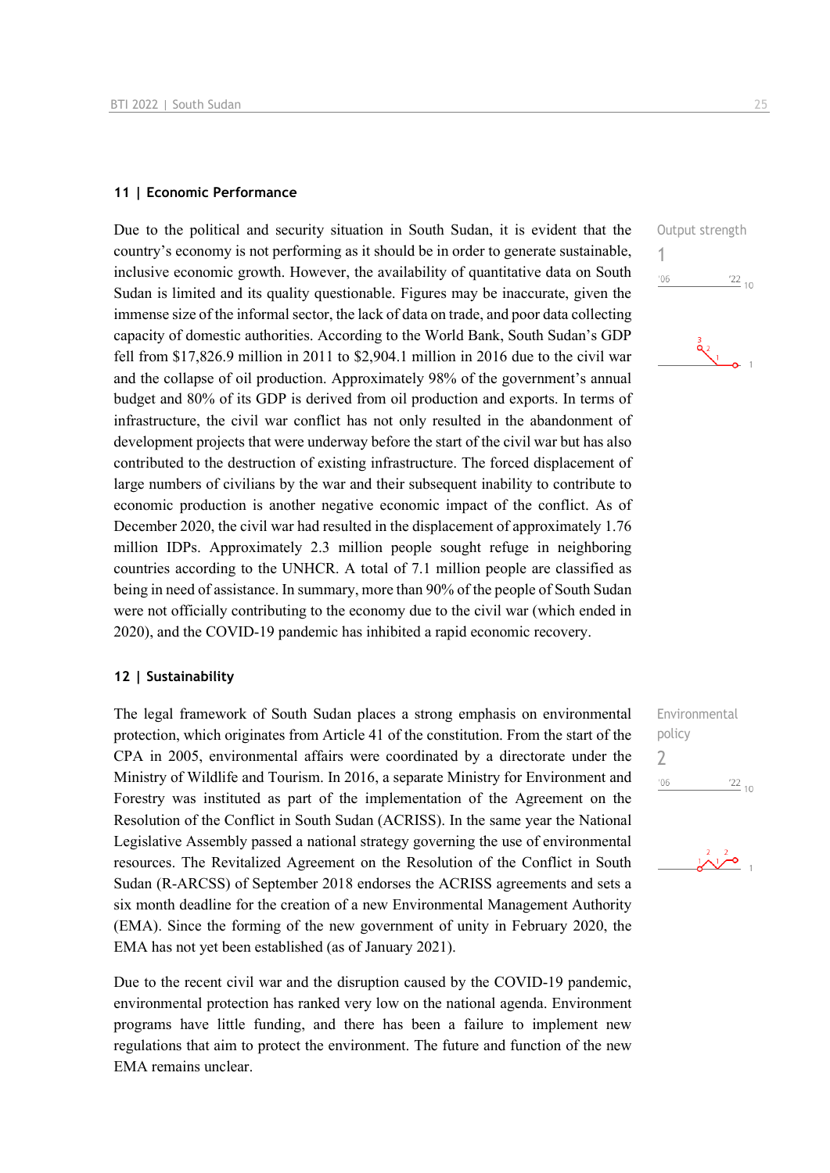#### **11 | Economic Performance**

Due to the political and security situation in South Sudan, it is evident that the country's economy is not performing as it should be in order to generate sustainable, inclusive economic growth. However, the availability of quantitative data on South Sudan is limited and its quality questionable. Figures may be inaccurate, given the immense size of the informal sector, the lack of data on trade, and poor data collecting capacity of domestic authorities. According to the World Bank, South Sudan's GDP fell from \$17,826.9 million in 2011 to \$2,904.1 million in 2016 due to the civil war and the collapse of oil production. Approximately 98% of the government's annual budget and 80% of its GDP is derived from oil production and exports. In terms of infrastructure, the civil war conflict has not only resulted in the abandonment of development projects that were underway before the start of the civil war but has also contributed to the destruction of existing infrastructure. The forced displacement of large numbers of civilians by the war and their subsequent inability to contribute to economic production is another negative economic impact of the conflict. As of December 2020, the civil war had resulted in the displacement of approximately 1.76 million IDPs. Approximately 2.3 million people sought refuge in neighboring countries according to the UNHCR. A total of 7.1 million people are classified as being in need of assistance. In summary, more than 90% of the people of South Sudan were not officially contributing to the economy due to the civil war (which ended in 2020), and the COVID-19 pandemic has inhibited a rapid economic recovery.

## **12 | Sustainability**

The legal framework of South Sudan places a strong emphasis on environmental protection, which originates from Article 41 of the constitution. From the start of the CPA in 2005, environmental affairs were coordinated by a directorate under the Ministry of Wildlife and Tourism. In 2016, a separate Ministry for Environment and Forestry was instituted as part of the implementation of the Agreement on the Resolution of the Conflict in South Sudan (ACRISS). In the same year the National Legislative Assembly passed a national strategy governing the use of environmental resources. The Revitalized Agreement on the Resolution of the Conflict in South Sudan (R-ARCSS) of September 2018 endorses the ACRISS agreements and sets a six month deadline for the creation of a new Environmental Management Authority (EMA). Since the forming of the new government of unity in February 2020, the EMA has not yet been established (as of January 2021).

Due to the recent civil war and the disruption caused by the COVID-19 pandemic, environmental protection has ranked very low on the national agenda. Environment programs have little funding, and there has been a failure to implement new regulations that aim to protect the environment. The future and function of the new EMA remains unclear.



| Environmental |            |
|---------------|------------|
| policy        |            |
| 7             |            |
| '06           | $122_{10}$ |
|               |            |

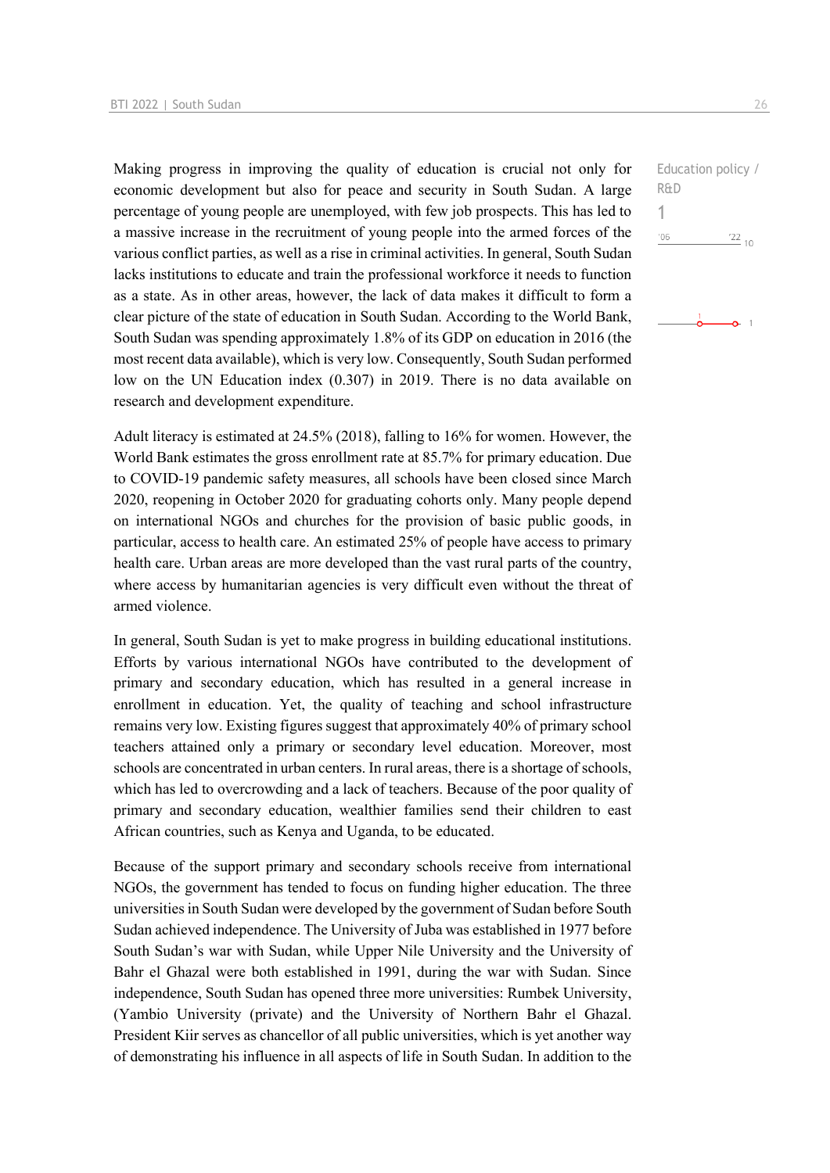Making progress in improving the quality of education is crucial not only for economic development but also for peace and security in South Sudan. A large percentage of young people are unemployed, with few job prospects. This has led to a massive increase in the recruitment of young people into the armed forces of the various conflict parties, as well as a rise in criminal activities. In general, South Sudan lacks institutions to educate and train the professional workforce it needs to function as a state. As in other areas, however, the lack of data makes it difficult to form a clear picture of the state of education in South Sudan. According to the World Bank, South Sudan was spending approximately 1.8% of its GDP on education in 2016 (the most recent data available), which is very low. Consequently, South Sudan performed low on the UN Education index (0.307) in 2019. There is no data available on research and development expenditure.

Adult literacy is estimated at 24.5% (2018), falling to 16% for women. However, the World Bank estimates the gross enrollment rate at 85.7% for primary education. Due to COVID-19 pandemic safety measures, all schools have been closed since March 2020, reopening in October 2020 for graduating cohorts only. Many people depend on international NGOs and churches for the provision of basic public goods, in particular, access to health care. An estimated 25% of people have access to primary health care. Urban areas are more developed than the vast rural parts of the country, where access by humanitarian agencies is very difficult even without the threat of armed violence.

In general, South Sudan is yet to make progress in building educational institutions. Efforts by various international NGOs have contributed to the development of primary and secondary education, which has resulted in a general increase in enrollment in education. Yet, the quality of teaching and school infrastructure remains very low. Existing figures suggest that approximately 40% of primary school teachers attained only a primary or secondary level education. Moreover, most schools are concentrated in urban centers. In rural areas, there is a shortage of schools, which has led to overcrowding and a lack of teachers. Because of the poor quality of primary and secondary education, wealthier families send their children to east African countries, such as Kenya and Uganda, to be educated.

Because of the support primary and secondary schools receive from international NGOs, the government has tended to focus on funding higher education. The three universities in South Sudan were developed by the government of Sudan before South Sudan achieved independence. The University of Juba was established in 1977 before South Sudan's war with Sudan, while Upper Nile University and the University of Bahr el Ghazal were both established in 1991, during the war with Sudan. Since independence, South Sudan has opened three more universities: Rumbek University, (Yambio University (private) and the University of Northern Bahr el Ghazal. President Kiir serves as chancellor of all public universities, which is yet another way of demonstrating his influence in all aspects of life in South Sudan. In addition to the

Education policy / R&D 1 $^{\prime}06$  $\frac{22}{10}$ 

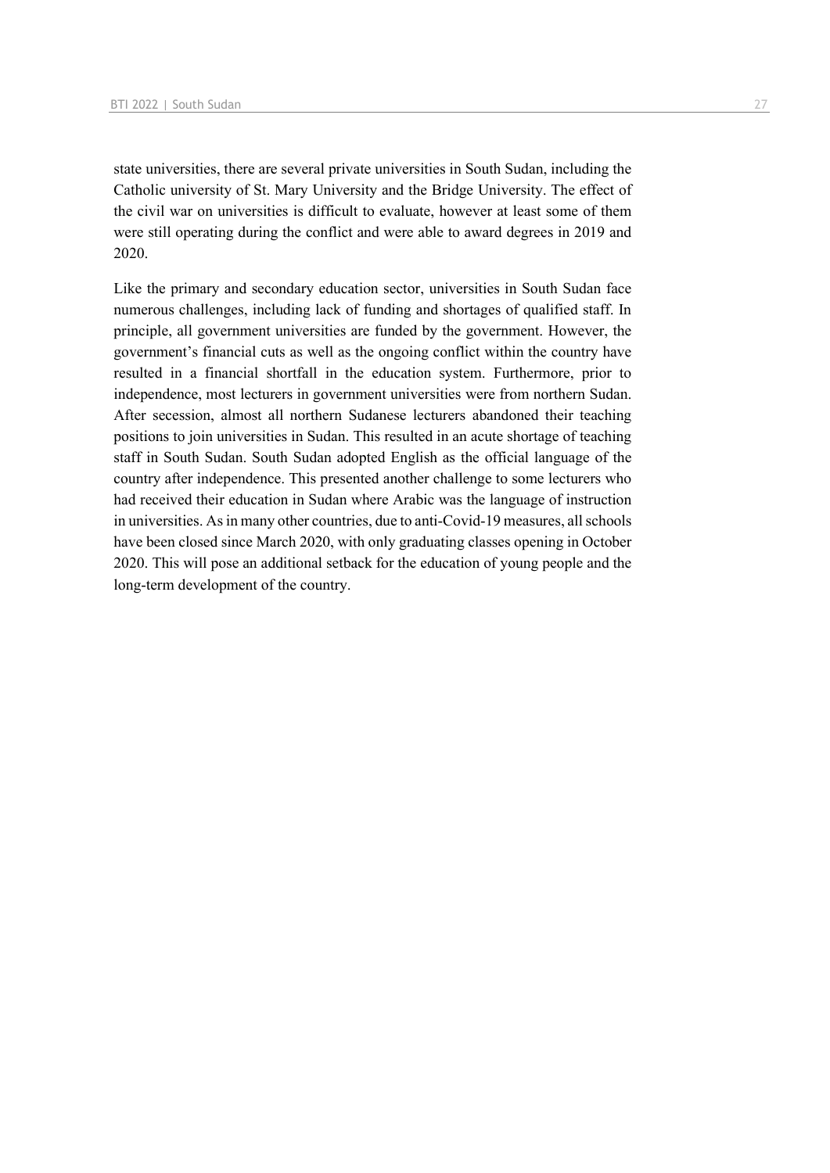state universities, there are several private universities in South Sudan, including the Catholic university of St. Mary University and the Bridge University. The effect of the civil war on universities is difficult to evaluate, however at least some of them were still operating during the conflict and were able to award degrees in 2019 and 2020.

Like the primary and secondary education sector, universities in South Sudan face numerous challenges, including lack of funding and shortages of qualified staff. In principle, all government universities are funded by the government. However, the government's financial cuts as well as the ongoing conflict within the country have resulted in a financial shortfall in the education system. Furthermore, prior to independence, most lecturers in government universities were from northern Sudan. After secession, almost all northern Sudanese lecturers abandoned their teaching positions to join universities in Sudan. This resulted in an acute shortage of teaching staff in South Sudan. South Sudan adopted English as the official language of the country after independence. This presented another challenge to some lecturers who had received their education in Sudan where Arabic was the language of instruction in universities. As in many other countries, due to anti-Covid-19 measures, all schools have been closed since March 2020, with only graduating classes opening in October 2020. This will pose an additional setback for the education of young people and the long-term development of the country.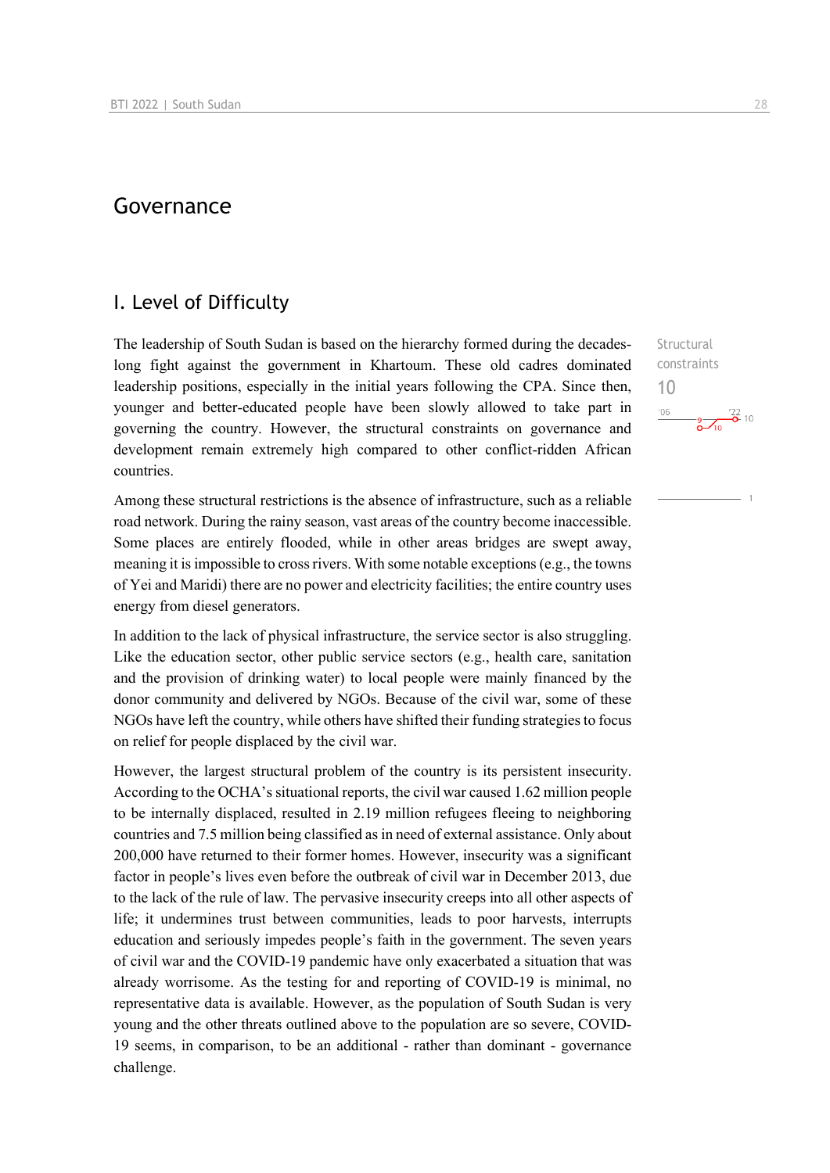## Governance

## I. Level of Difficulty

The leadership of South Sudan is based on the hierarchy formed during the decadeslong fight against the government in Khartoum. These old cadres dominated leadership positions, especially in the initial years following the CPA. Since then, younger and better-educated people have been slowly allowed to take part in governing the country. However, the structural constraints on governance and development remain extremely high compared to other conflict-ridden African countries.

Among these structural restrictions is the absence of infrastructure, such as a reliable road network. During the rainy season, vast areas of the country become inaccessible. Some places are entirely flooded, while in other areas bridges are swept away, meaning it is impossible to cross rivers. With some notable exceptions (e.g., the towns of Yei and Maridi) there are no power and electricity facilities; the entire country uses energy from diesel generators.

In addition to the lack of physical infrastructure, the service sector is also struggling. Like the education sector, other public service sectors (e.g., health care, sanitation and the provision of drinking water) to local people were mainly financed by the donor community and delivered by NGOs. Because of the civil war, some of these NGOs have left the country, while others have shifted their funding strategies to focus on relief for people displaced by the civil war.

However, the largest structural problem of the country is its persistent insecurity. According to the OCHA's situational reports, the civil war caused 1.62 million people to be internally displaced, resulted in 2.19 million refugees fleeing to neighboring countries and 7.5 million being classified as in need of external assistance. Only about 200,000 have returned to their former homes. However, insecurity was a significant factor in people's lives even before the outbreak of civil war in December 2013, due to the lack of the rule of law. The pervasive insecurity creeps into all other aspects of life; it undermines trust between communities, leads to poor harvests, interrupts education and seriously impedes people's faith in the government. The seven years of civil war and the COVID-19 pandemic have only exacerbated a situation that was already worrisome. As the testing for and reporting of COVID-19 is minimal, no representative data is available. However, as the population of South Sudan is very young and the other threats outlined above to the population are so severe, COVID-19 seems, in comparison, to be an additional - rather than dominant - governance challenge.

Structural constraints 10 $\frac{1}{2}$   $\frac{1}{2}$   $\frac{1}{2}$  10  $-06$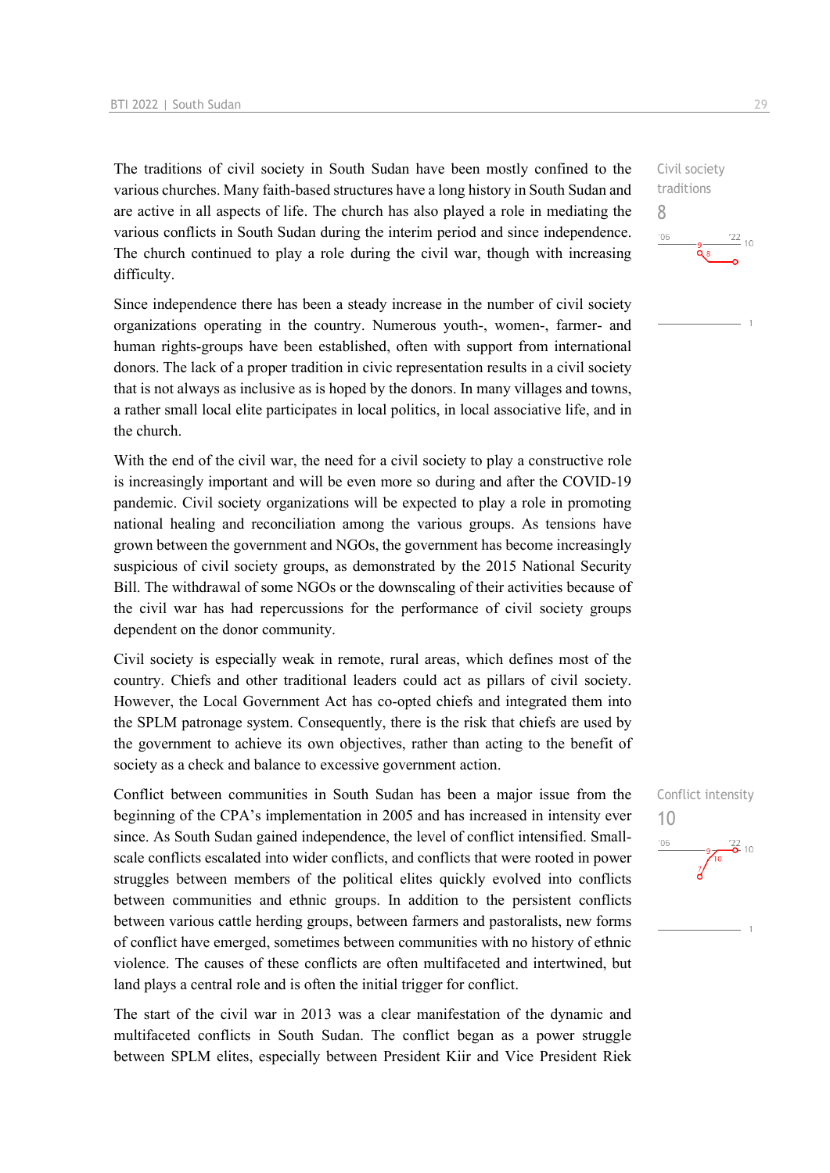The traditions of civil society in South Sudan have been mostly confined to the various churches. Many faith-based structures have a long history in South Sudan and are active in all aspects of life. The church has also played a role in mediating the various conflicts in South Sudan during the interim period and since independence. The church continued to play a role during the civil war, though with increasing difficulty.

Since independence there has been a steady increase in the number of civil society organizations operating in the country. Numerous youth-, women-, farmer- and human rights-groups have been established, often with support from international donors. The lack of a proper tradition in civic representation results in a civil society that is not always as inclusive as is hoped by the donors. In many villages and towns, a rather small local elite participates in local politics, in local associative life, and in the church.

With the end of the civil war, the need for a civil society to play a constructive role is increasingly important and will be even more so during and after the COVID-19 pandemic. Civil society organizations will be expected to play a role in promoting national healing and reconciliation among the various groups. As tensions have grown between the government and NGOs, the government has become increasingly suspicious of civil society groups, as demonstrated by the 2015 National Security Bill. The withdrawal of some NGOs or the downscaling of their activities because of the civil war has had repercussions for the performance of civil society groups dependent on the donor community.

Civil society is especially weak in remote, rural areas, which defines most of the country. Chiefs and other traditional leaders could act as pillars of civil society. However, the Local Government Act has co-opted chiefs and integrated them into the SPLM patronage system. Consequently, there is the risk that chiefs are used by the government to achieve its own objectives, rather than acting to the benefit of society as a check and balance to excessive government action.

Conflict between communities in South Sudan has been a major issue from the beginning of the CPA's implementation in 2005 and has increased in intensity ever since. As South Sudan gained independence, the level of conflict intensified. Smallscale conflicts escalated into wider conflicts, and conflicts that were rooted in power struggles between members of the political elites quickly evolved into conflicts between communities and ethnic groups. In addition to the persistent conflicts between various cattle herding groups, between farmers and pastoralists, new forms of conflict have emerged, sometimes between communities with no history of ethnic violence. The causes of these conflicts are often multifaceted and intertwined, but land plays a central role and is often the initial trigger for conflict.

The start of the civil war in 2013 was a clear manifestation of the dynamic and multifaceted conflicts in South Sudan. The conflict began as a power struggle between SPLM elites, especially between President Kiir and Vice President Riek Civil society traditions 8  $-06$  $\frac{22}{10}$ 

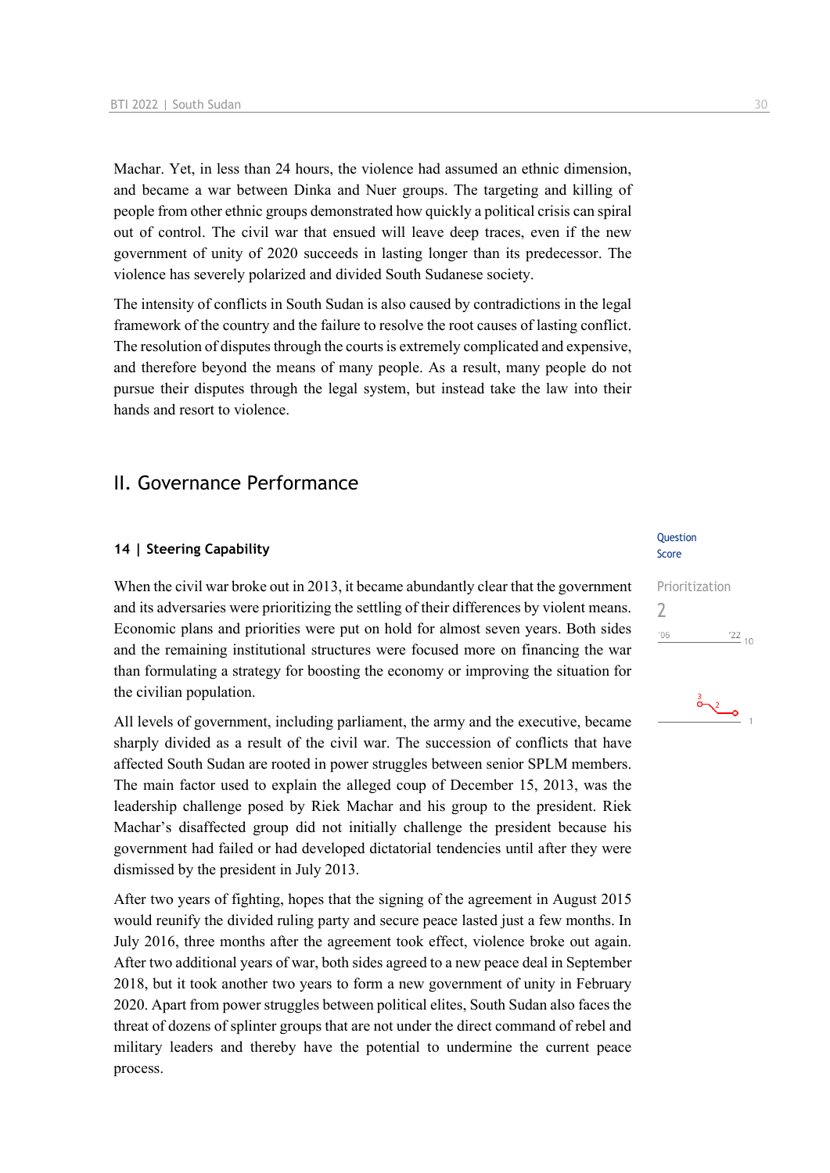Machar. Yet, in less than 24 hours, the violence had assumed an ethnic dimension, and became a war between Dinka and Nuer groups. The targeting and killing of people from other ethnic groups demonstrated how quickly a political crisis can spiral out of control. The civil war that ensued will leave deep traces, even if the new government of unity of 2020 succeeds in lasting longer than its predecessor. The violence has severely polarized and divided South Sudanese society.

The intensity of conflicts in South Sudan is also caused by contradictions in the legal framework of the country and the failure to resolve the root causes of lasting conflict. The resolution of disputes through the courts is extremely complicated and expensive, and therefore beyond the means of many people. As a result, many people do not pursue their disputes through the legal system, but instead take the law into their hands and resort to violence.

## II. Governance Performance

## **14 | Steering Capability**

When the civil war broke out in 2013, it became abundantly clear that the government and its adversaries were prioritizing the settling of their differences by violent means. Economic plans and priorities were put on hold for almost seven years. Both sides and the remaining institutional structures were focused more on financing the war than formulating a strategy for boosting the economy or improving the situation for the civilian population.

All levels of government, including parliament, the army and the executive, became sharply divided as a result of the civil war. The succession of conflicts that have affected South Sudan are rooted in power struggles between senior SPLM members. The main factor used to explain the alleged coup of December 15, 2013, was the leadership challenge posed by Riek Machar and his group to the president. Riek Machar's disaffected group did not initially challenge the president because his government had failed or had developed dictatorial tendencies until after they were dismissed by the president in July 2013.

After two years of fighting, hopes that the signing of the agreement in August 2015 would reunify the divided ruling party and secure peace lasted just a few months. In July 2016, three months after the agreement took effect, violence broke out again. After two additional years of war, both sides agreed to a new peace deal in September 2018, but it took another two years to form a new government of unity in February 2020. Apart from power struggles between political elites, South Sudan also faces the threat of dozens of splinter groups that are not under the direct command of rebel and military leaders and thereby have the potential to undermine the current peace process.

#### **Question** Score

| Prioritization |               |  |
|----------------|---------------|--|
| 7              |               |  |
| '06            | $^{22}_{-10}$ |  |
|                |               |  |

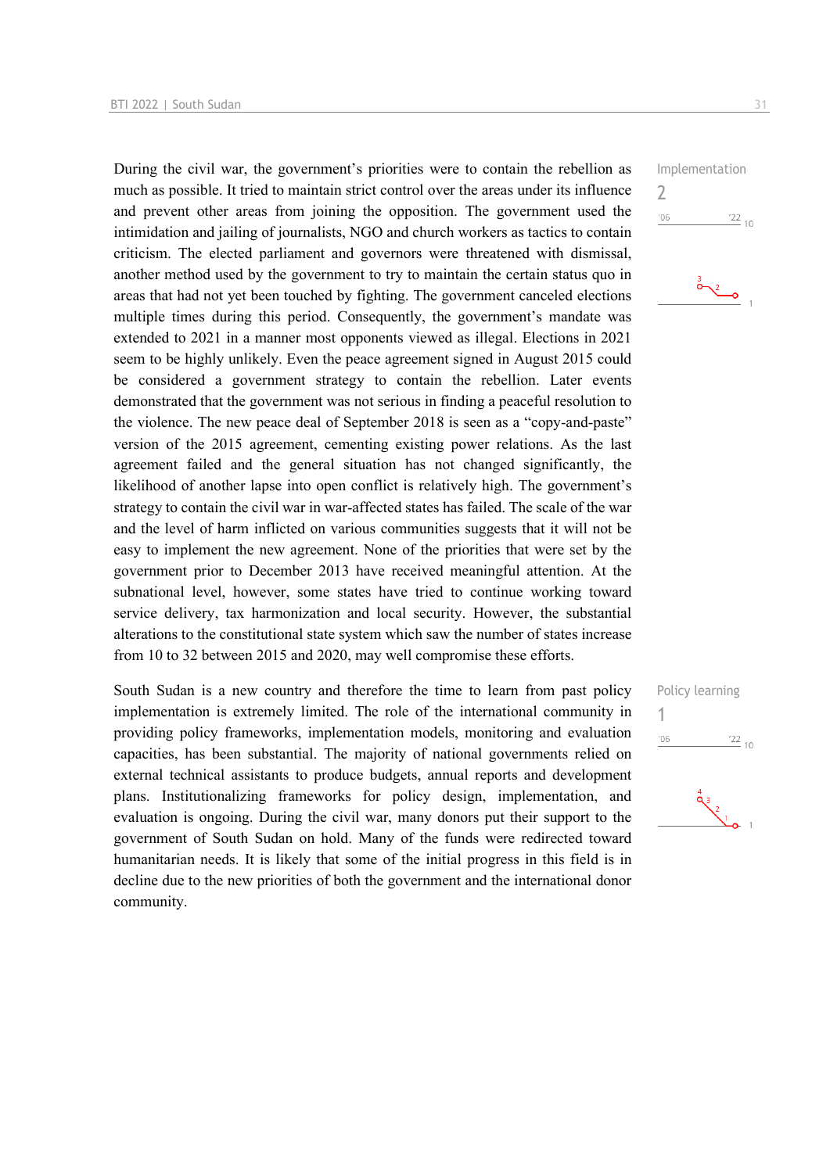During the civil war, the government's priorities were to contain the rebellion as much as possible. It tried to maintain strict control over the areas under its influence and prevent other areas from joining the opposition. The government used the intimidation and jailing of journalists, NGO and church workers as tactics to contain criticism. The elected parliament and governors were threatened with dismissal, another method used by the government to try to maintain the certain status quo in areas that had not yet been touched by fighting. The government canceled elections multiple times during this period. Consequently, the government's mandate was extended to 2021 in a manner most opponents viewed as illegal. Elections in 2021 seem to be highly unlikely. Even the peace agreement signed in August 2015 could be considered a government strategy to contain the rebellion. Later events demonstrated that the government was not serious in finding a peaceful resolution to the violence. The new peace deal of September 2018 is seen as a "copy-and-paste" version of the 2015 agreement, cementing existing power relations. As the last agreement failed and the general situation has not changed significantly, the likelihood of another lapse into open conflict is relatively high. The government's strategy to contain the civil war in war-affected states has failed. The scale of the war and the level of harm inflicted on various communities suggests that it will not be easy to implement the new agreement. None of the priorities that were set by the government prior to December 2013 have received meaningful attention. At the subnational level, however, some states have tried to continue working toward service delivery, tax harmonization and local security. However, the substantial alterations to the constitutional state system which saw the number of states increase from 10 to 32 between 2015 and 2020, may well compromise these efforts.

South Sudan is a new country and therefore the time to learn from past policy implementation is extremely limited. The role of the international community in providing policy frameworks, implementation models, monitoring and evaluation capacities, has been substantial. The majority of national governments relied on external technical assistants to produce budgets, annual reports and development plans. Institutionalizing frameworks for policy design, implementation, and evaluation is ongoing. During the civil war, many donors put their support to the government of South Sudan on hold. Many of the funds were redirected toward humanitarian needs. It is likely that some of the initial progress in this field is in decline due to the new priorities of both the government and the international donor community.

Implementation  $\overline{\phantom{0}}$  $'06$  $\frac{22}{10}$ 





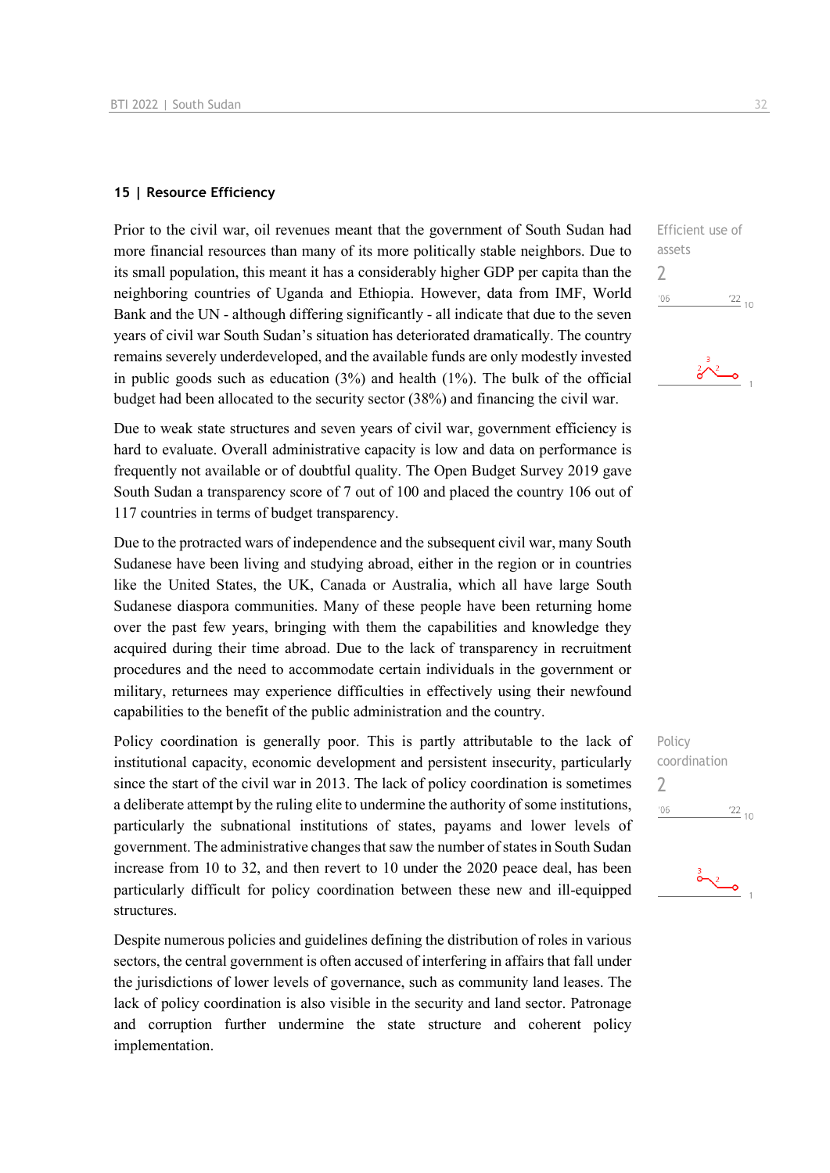## **15 | Resource Efficiency**

Prior to the civil war, oil revenues meant that the government of South Sudan had more financial resources than many of its more politically stable neighbors. Due to its small population, this meant it has a considerably higher GDP per capita than the neighboring countries of Uganda and Ethiopia. However, data from IMF, World Bank and the UN - although differing significantly - all indicate that due to the seven years of civil war South Sudan's situation has deteriorated dramatically. The country remains severely underdeveloped, and the available funds are only modestly invested in public goods such as education  $(3%)$  and health  $(1%)$ . The bulk of the official budget had been allocated to the security sector (38%) and financing the civil war.

Due to weak state structures and seven years of civil war, government efficiency is hard to evaluate. Overall administrative capacity is low and data on performance is frequently not available or of doubtful quality. The Open Budget Survey 2019 gave South Sudan a transparency score of 7 out of 100 and placed the country 106 out of 117 countries in terms of budget transparency.

Due to the protracted wars of independence and the subsequent civil war, many South Sudanese have been living and studying abroad, either in the region or in countries like the United States, the UK, Canada or Australia, which all have large South Sudanese diaspora communities. Many of these people have been returning home over the past few years, bringing with them the capabilities and knowledge they acquired during their time abroad. Due to the lack of transparency in recruitment procedures and the need to accommodate certain individuals in the government or military, returnees may experience difficulties in effectively using their newfound capabilities to the benefit of the public administration and the country.

Policy coordination is generally poor. This is partly attributable to the lack of institutional capacity, economic development and persistent insecurity, particularly since the start of the civil war in 2013. The lack of policy coordination is sometimes a deliberate attempt by the ruling elite to undermine the authority of some institutions, particularly the subnational institutions of states, payams and lower levels of government. The administrative changes that saw the number of states in South Sudan increase from 10 to 32, and then revert to 10 under the 2020 peace deal, has been particularly difficult for policy coordination between these new and ill-equipped structures.

Despite numerous policies and guidelines defining the distribution of roles in various sectors, the central government is often accused of interfering in affairs that fall under the jurisdictions of lower levels of governance, such as community land leases. The lack of policy coordination is also visible in the security and land sector. Patronage and corruption further undermine the state structure and coherent policy implementation.

Efficient use of assets

 $06'$  $\frac{22}{10}$ 

2



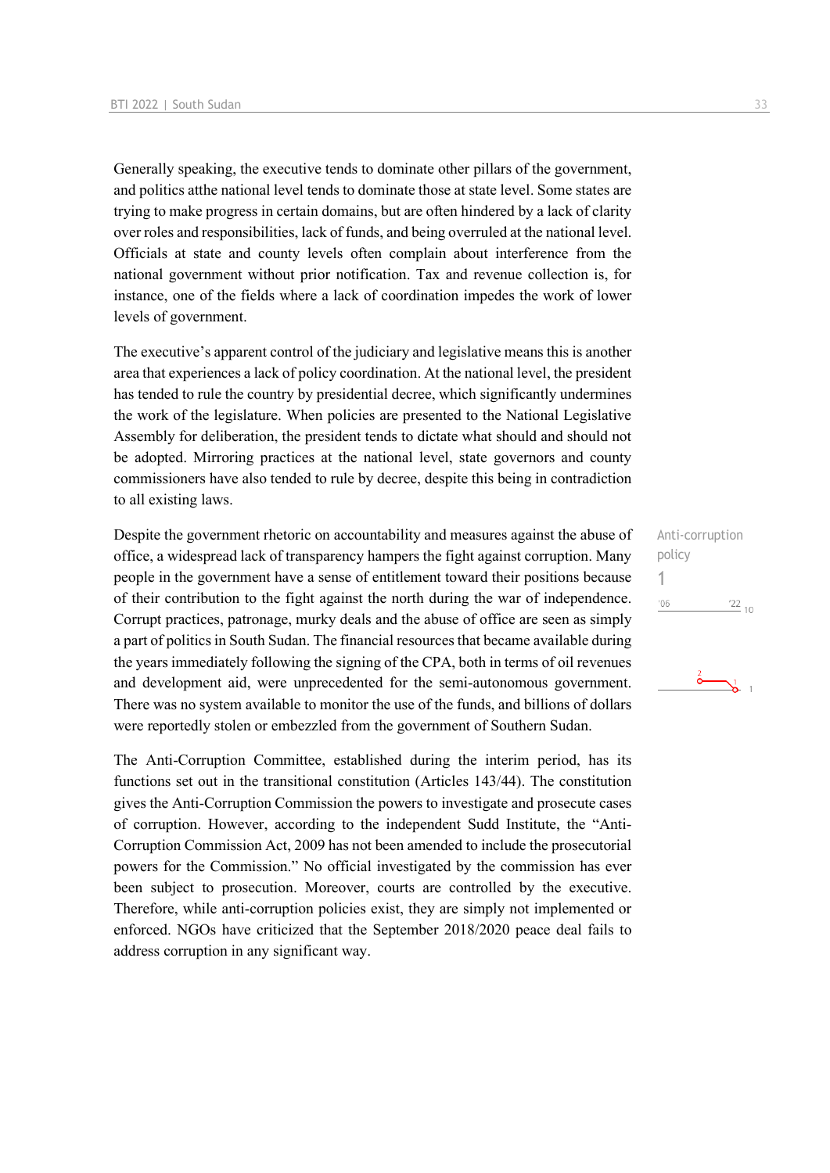Generally speaking, the executive tends to dominate other pillars of the government, and politics atthe national level tends to dominate those at state level. Some states are trying to make progress in certain domains, but are often hindered by a lack of clarity over roles and responsibilities, lack of funds, and being overruled at the national level. Officials at state and county levels often complain about interference from the national government without prior notification. Tax and revenue collection is, for instance, one of the fields where a lack of coordination impedes the work of lower levels of government.

The executive's apparent control of the judiciary and legislative means this is another area that experiences a lack of policy coordination. At the national level, the president has tended to rule the country by presidential decree, which significantly undermines the work of the legislature. When policies are presented to the National Legislative Assembly for deliberation, the president tends to dictate what should and should not be adopted. Mirroring practices at the national level, state governors and county commissioners have also tended to rule by decree, despite this being in contradiction to all existing laws.

Despite the government rhetoric on accountability and measures against the abuse of office, a widespread lack of transparency hampers the fight against corruption. Many people in the government have a sense of entitlement toward their positions because of their contribution to the fight against the north during the war of independence. Corrupt practices, patronage, murky deals and the abuse of office are seen as simply a part of politics in South Sudan. The financial resources that became available during the years immediately following the signing of the CPA, both in terms of oil revenues and development aid, were unprecedented for the semi-autonomous government. There was no system available to monitor the use of the funds, and billions of dollars were reportedly stolen or embezzled from the government of Southern Sudan.

The Anti-Corruption Committee, established during the interim period, has its functions set out in the transitional constitution (Articles 143/44). The constitution gives the Anti-Corruption Commission the powers to investigate and prosecute cases of corruption. However, according to the independent Sudd Institute, the "Anti-Corruption Commission Act, 2009 has not been amended to include the prosecutorial powers for the Commission." No official investigated by the commission has ever been subject to prosecution. Moreover, courts are controlled by the executive. Therefore, while anti-corruption policies exist, they are simply not implemented or enforced. NGOs have criticized that the September 2018/2020 peace deal fails to address corruption in any significant way.

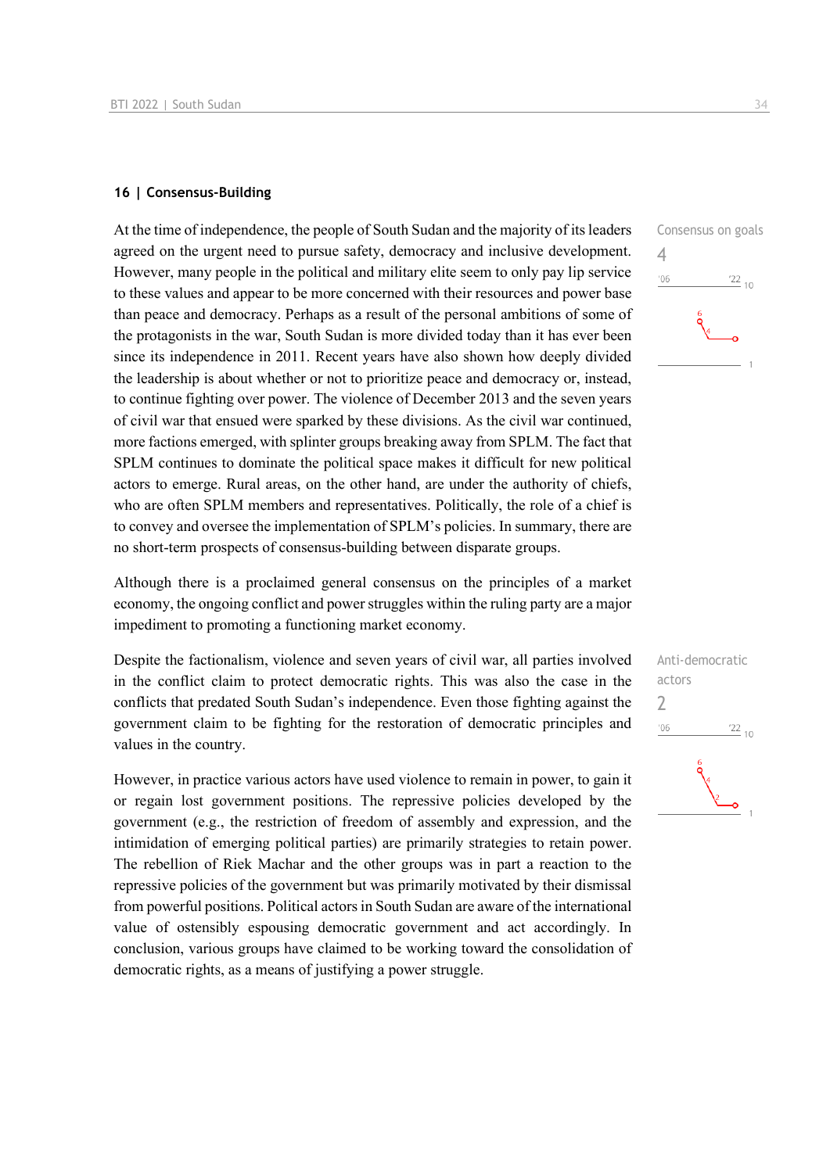#### **16 | Consensus-Building**

At the time of independence, the people of South Sudan and the majority of its leaders agreed on the urgent need to pursue safety, democracy and inclusive development. However, many people in the political and military elite seem to only pay lip service to these values and appear to be more concerned with their resources and power base than peace and democracy. Perhaps as a result of the personal ambitions of some of the protagonists in the war, South Sudan is more divided today than it has ever been since its independence in 2011. Recent years have also shown how deeply divided the leadership is about whether or not to prioritize peace and democracy or, instead, to continue fighting over power. The violence of December 2013 and the seven years of civil war that ensued were sparked by these divisions. As the civil war continued, more factions emerged, with splinter groups breaking away from SPLM. The fact that SPLM continues to dominate the political space makes it difficult for new political actors to emerge. Rural areas, on the other hand, are under the authority of chiefs, who are often SPLM members and representatives. Politically, the role of a chief is to convey and oversee the implementation of SPLM's policies. In summary, there are no short-term prospects of consensus-building between disparate groups.

Although there is a proclaimed general consensus on the principles of a market economy, the ongoing conflict and power struggles within the ruling party are a major impediment to promoting a functioning market economy.

Despite the factionalism, violence and seven years of civil war, all parties involved in the conflict claim to protect democratic rights. This was also the case in the conflicts that predated South Sudan's independence. Even those fighting against the government claim to be fighting for the restoration of democratic principles and values in the country.

However, in practice various actors have used violence to remain in power, to gain it or regain lost government positions. The repressive policies developed by the government (e.g., the restriction of freedom of assembly and expression, and the intimidation of emerging political parties) are primarily strategies to retain power. The rebellion of Riek Machar and the other groups was in part a reaction to the repressive policies of the government but was primarily motivated by their dismissal from powerful positions. Political actors in South Sudan are aware of the international value of ostensibly espousing democratic government and act accordingly. In conclusion, various groups have claimed to be working toward the consolidation of democratic rights, as a means of justifying a power struggle.



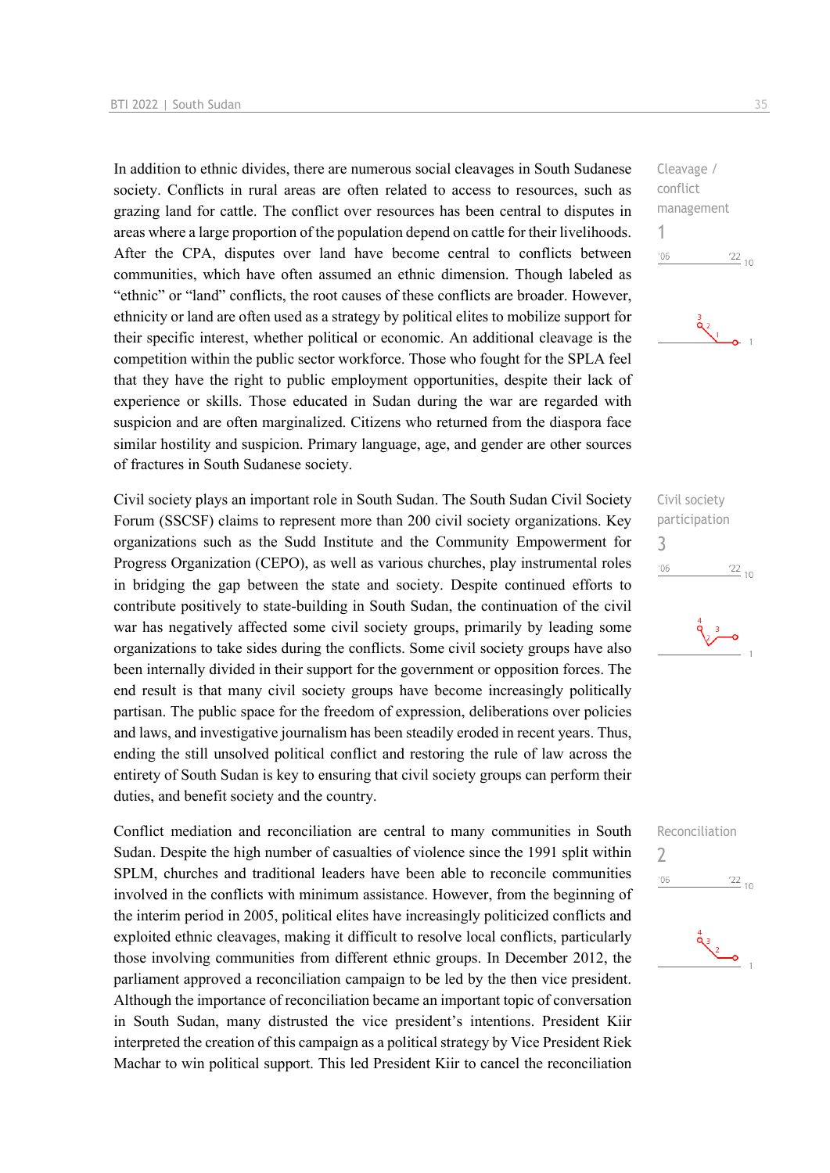In addition to ethnic divides, there are numerous social cleavages in South Sudanese society. Conflicts in rural areas are often related to access to resources, such as grazing land for cattle. The conflict over resources has been central to disputes in areas where a large proportion of the population depend on cattle for their livelihoods. After the CPA, disputes over land have become central to conflicts between communities, which have often assumed an ethnic dimension. Though labeled as "ethnic" or "land" conflicts, the root causes of these conflicts are broader. However, ethnicity or land are often used as a strategy by political elites to mobilize support for their specific interest, whether political or economic. An additional cleavage is the competition within the public sector workforce. Those who fought for the SPLA feel that they have the right to public employment opportunities, despite their lack of experience or skills. Those educated in Sudan during the war are regarded with suspicion and are often marginalized. Citizens who returned from the diaspora face similar hostility and suspicion. Primary language, age, and gender are other sources of fractures in South Sudanese society.

Civil society plays an important role in South Sudan. The South Sudan Civil Society Forum (SSCSF) claims to represent more than 200 civil society organizations. Key organizations such as the Sudd Institute and the Community Empowerment for Progress Organization (CEPO), as well as various churches, play instrumental roles in bridging the gap between the state and society. Despite continued efforts to contribute positively to state-building in South Sudan, the continuation of the civil war has negatively affected some civil society groups, primarily by leading some organizations to take sides during the conflicts. Some civil society groups have also been internally divided in their support for the government or opposition forces. The end result is that many civil society groups have become increasingly politically partisan. The public space for the freedom of expression, deliberations over policies and laws, and investigative journalism has been steadily eroded in recent years. Thus, ending the still unsolved political conflict and restoring the rule of law across the entirety of South Sudan is key to ensuring that civil society groups can perform their duties, and benefit society and the country.

Conflict mediation and reconciliation are central to many communities in South Sudan. Despite the high number of casualties of violence since the 1991 split within SPLM, churches and traditional leaders have been able to reconcile communities involved in the conflicts with minimum assistance. However, from the beginning of the interim period in 2005, political elites have increasingly politicized conflicts and exploited ethnic cleavages, making it difficult to resolve local conflicts, particularly those involving communities from different ethnic groups. In December 2012, the parliament approved a reconciliation campaign to be led by the then vice president. Although the importance of reconciliation became an important topic of conversation in South Sudan, many distrusted the vice president's intentions. President Kiir interpreted the creation of this campaign as a political strategy by Vice President Riek Machar to win political support. This led President Kiir to cancel the reconciliation





Civil society participation 3  $\frac{22}{10}$  $'06$ 





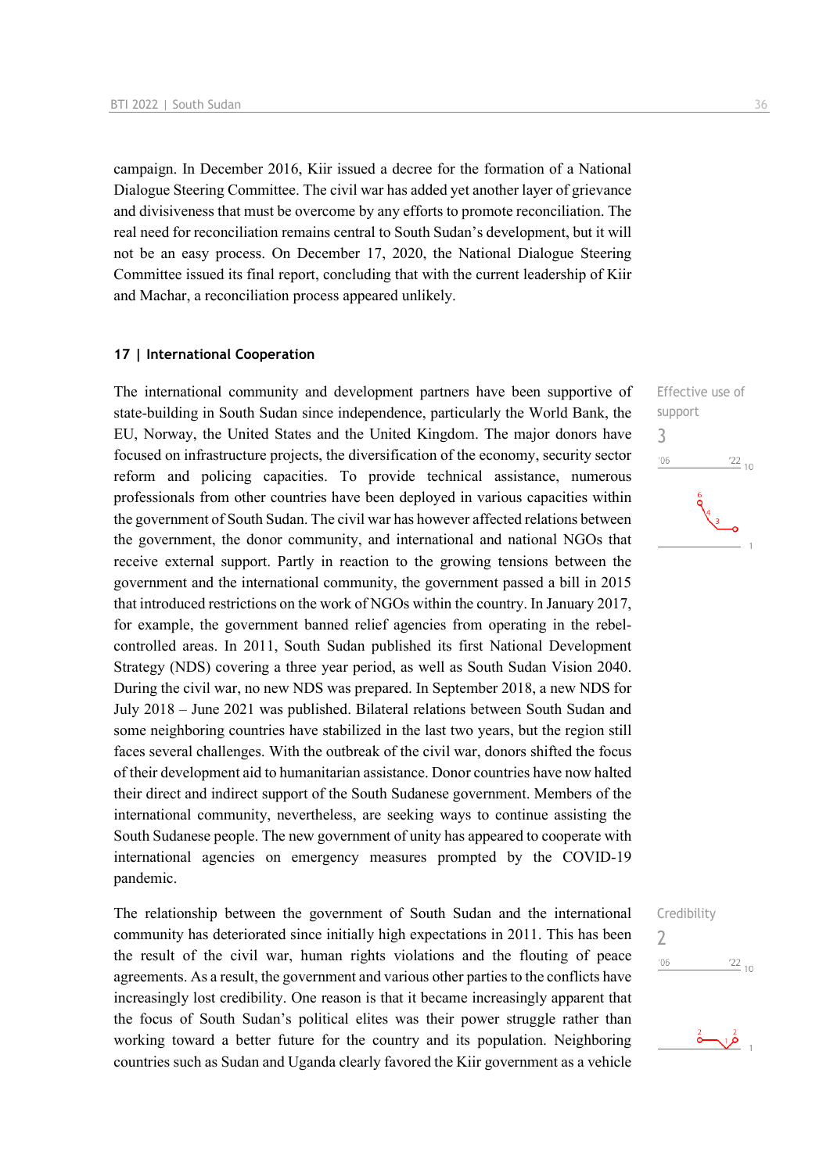campaign. In December 2016, Kiir issued a decree for the formation of a National Dialogue Steering Committee. The civil war has added yet another layer of grievance and divisiveness that must be overcome by any efforts to promote reconciliation. The real need for reconciliation remains central to South Sudan's development, but it will not be an easy process. On December 17, 2020, the National Dialogue Steering Committee issued its final report, concluding that with the current leadership of Kiir and Machar, a reconciliation process appeared unlikely.

## **17 | International Cooperation**

The international community and development partners have been supportive of state-building in South Sudan since independence, particularly the World Bank, the EU, Norway, the United States and the United Kingdom. The major donors have focused on infrastructure projects, the diversification of the economy, security sector reform and policing capacities. To provide technical assistance, numerous professionals from other countries have been deployed in various capacities within the government of South Sudan. The civil war has however affected relations between the government, the donor community, and international and national NGOs that receive external support. Partly in reaction to the growing tensions between the government and the international community, the government passed a bill in 2015 that introduced restrictions on the work of NGOs within the country. In January 2017, for example, the government banned relief agencies from operating in the rebelcontrolled areas. In 2011, South Sudan published its first National Development Strategy (NDS) covering a three year period, as well as South Sudan Vision 2040. During the civil war, no new NDS was prepared. In September 2018, a new NDS for July 2018 – June 2021 was published. Bilateral relations between South Sudan and some neighboring countries have stabilized in the last two years, but the region still faces several challenges. With the outbreak of the civil war, donors shifted the focus of their development aid to humanitarian assistance. Donor countries have now halted their direct and indirect support of the South Sudanese government. Members of the international community, nevertheless, are seeking ways to continue assisting the South Sudanese people. The new government of unity has appeared to cooperate with international agencies on emergency measures prompted by the COVID-19 pandemic.

The relationship between the government of South Sudan and the international community has deteriorated since initially high expectations in 2011. This has been the result of the civil war, human rights violations and the flouting of peace agreements. As a result, the government and various other parties to the conflicts have increasingly lost credibility. One reason is that it became increasingly apparent that the focus of South Sudan's political elites was their power struggle rather than working toward a better future for the country and its population. Neighboring countries such as Sudan and Uganda clearly favored the Kiir government as a vehicle

Effective use of support  $106$  $\frac{22}{10}$ 

3



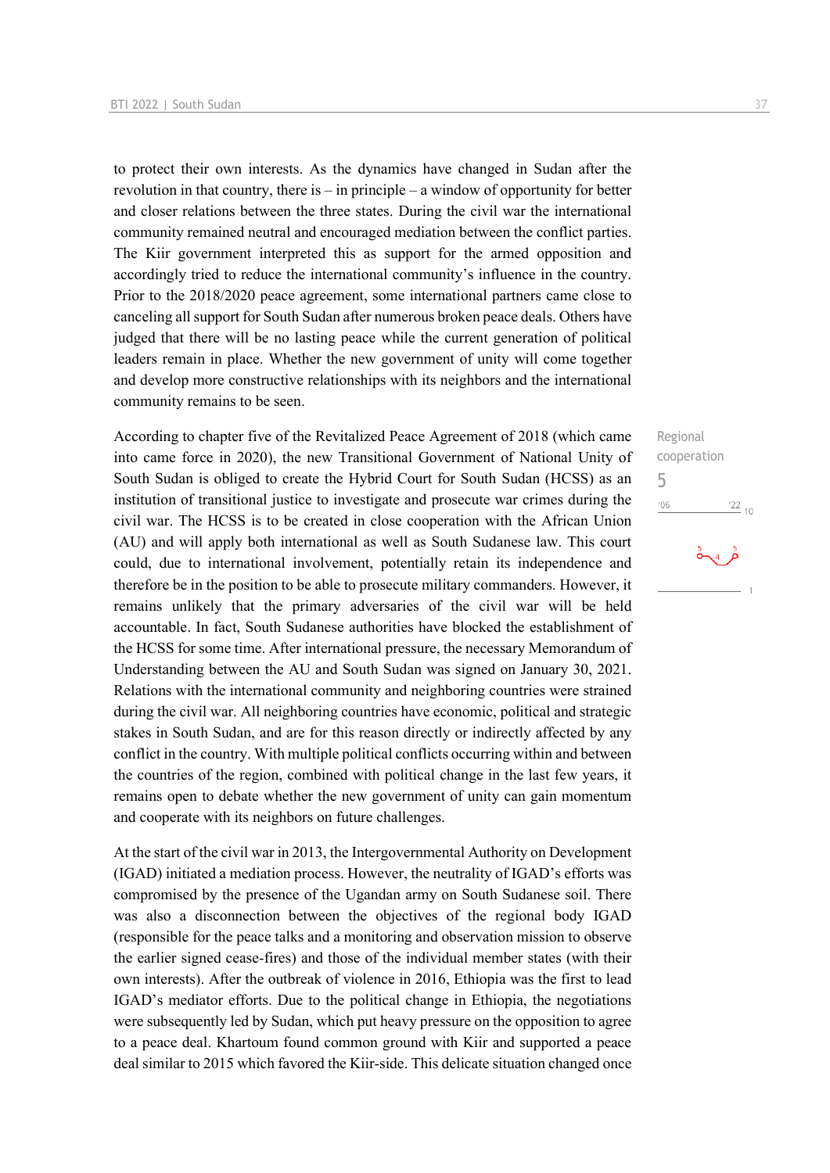to protect their own interests. As the dynamics have changed in Sudan after the revolution in that country, there is – in principle – a window of opportunity for better and closer relations between the three states. During the civil war the international community remained neutral and encouraged mediation between the conflict parties. The Kiir government interpreted this as support for the armed opposition and accordingly tried to reduce the international community's influence in the country. Prior to the 2018/2020 peace agreement, some international partners came close to canceling all support for South Sudan after numerous broken peace deals. Others have judged that there will be no lasting peace while the current generation of political leaders remain in place. Whether the new government of unity will come together and develop more constructive relationships with its neighbors and the international community remains to be seen.

According to chapter five of the Revitalized Peace Agreement of 2018 (which came into came force in 2020), the new Transitional Government of National Unity of South Sudan is obliged to create the Hybrid Court for South Sudan (HCSS) as an institution of transitional justice to investigate and prosecute war crimes during the civil war. The HCSS is to be created in close cooperation with the African Union (AU) and will apply both international as well as South Sudanese law. This court could, due to international involvement, potentially retain its independence and therefore be in the position to be able to prosecute military commanders. However, it remains unlikely that the primary adversaries of the civil war will be held accountable. In fact, South Sudanese authorities have blocked the establishment of the HCSS for some time. After international pressure, the necessary Memorandum of Understanding between the AU and South Sudan was signed on January 30, 2021. Relations with the international community and neighboring countries were strained during the civil war. All neighboring countries have economic, political and strategic stakes in South Sudan, and are for this reason directly or indirectly affected by any conflict in the country. With multiple political conflicts occurring within and between the countries of the region, combined with political change in the last few years, it remains open to debate whether the new government of unity can gain momentum and cooperate with its neighbors on future challenges.

At the start of the civil war in 2013, the Intergovernmental Authority on Development (IGAD) initiated a mediation process. However, the neutrality of IGAD's efforts was compromised by the presence of the Ugandan army on South Sudanese soil. There was also a disconnection between the objectives of the regional body IGAD (responsible for the peace talks and a monitoring and observation mission to observe the earlier signed cease-fires) and those of the individual member states (with their own interests). After the outbreak of violence in 2016, Ethiopia was the first to lead IGAD's mediator efforts. Due to the political change in Ethiopia, the negotiations were subsequently led by Sudan, which put heavy pressure on the opposition to agree to a peace deal. Khartoum found common ground with Kiir and supported a peace deal similar to 2015 which favored the Kiir-side. This delicate situation changed once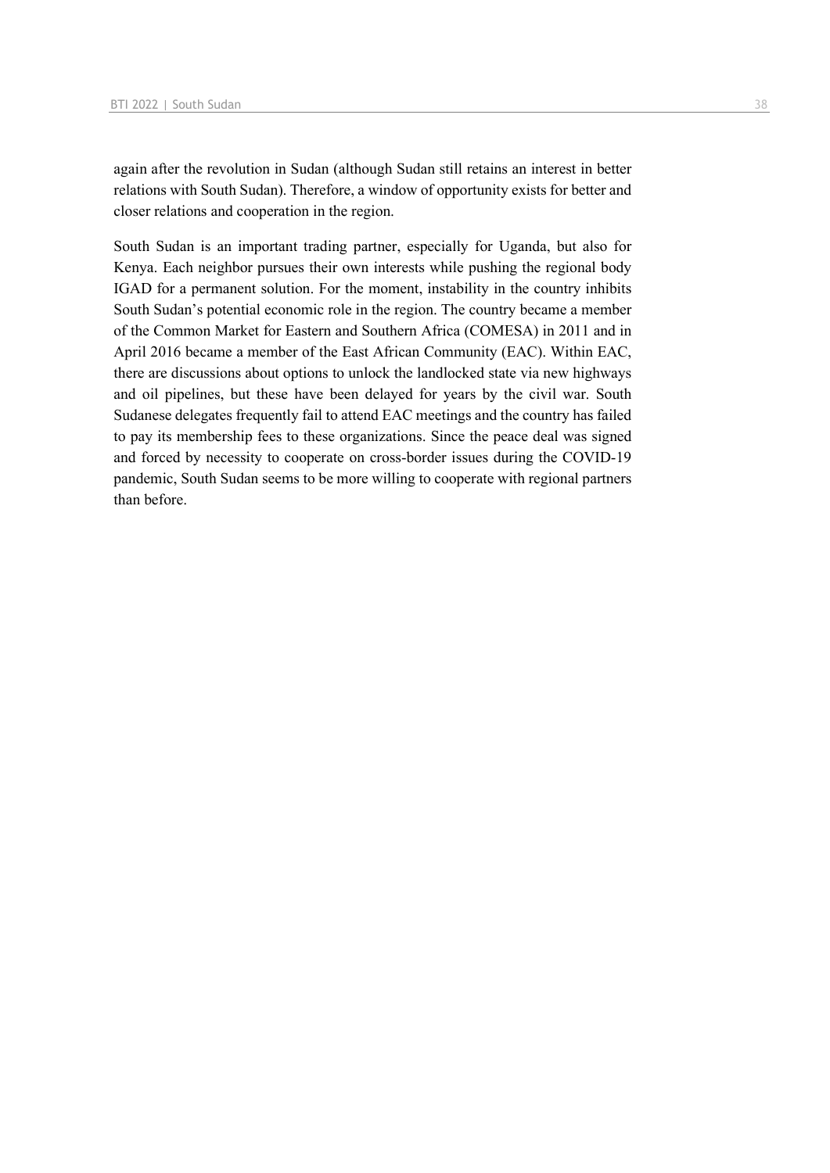again after the revolution in Sudan (although Sudan still retains an interest in better relations with South Sudan). Therefore, a window of opportunity exists for better and closer relations and cooperation in the region.

South Sudan is an important trading partner, especially for Uganda, but also for Kenya. Each neighbor pursues their own interests while pushing the regional body IGAD for a permanent solution. For the moment, instability in the country inhibits South Sudan's potential economic role in the region. The country became a member of the Common Market for Eastern and Southern Africa (COMESA) in 2011 and in April 2016 became a member of the East African Community (EAC). Within EAC, there are discussions about options to unlock the landlocked state via new highways and oil pipelines, but these have been delayed for years by the civil war. South Sudanese delegates frequently fail to attend EAC meetings and the country has failed to pay its membership fees to these organizations. Since the peace deal was signed and forced by necessity to cooperate on cross-border issues during the COVID-19 pandemic, South Sudan seems to be more willing to cooperate with regional partners than before.